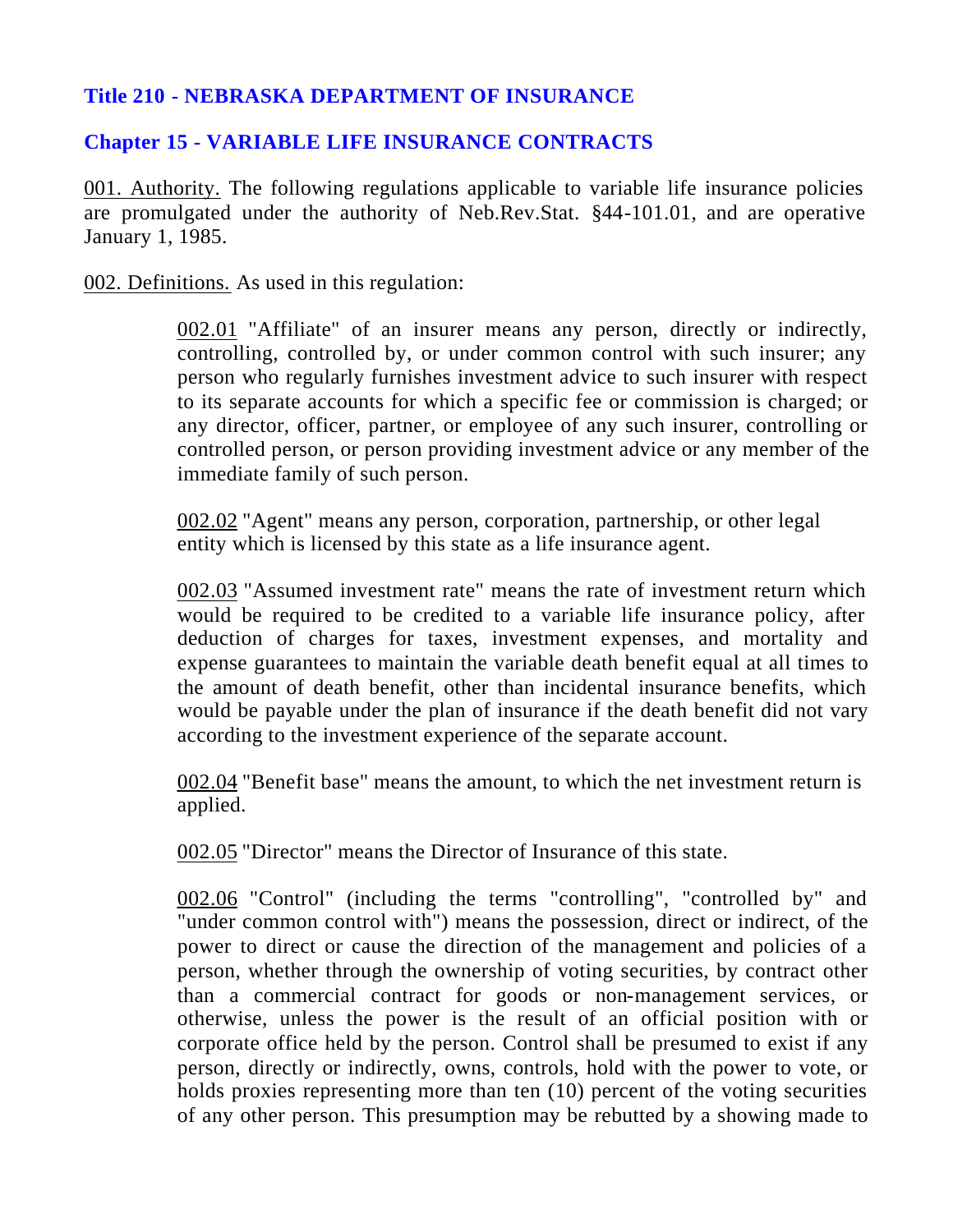## **Title 210 - NEBRASKA DEPARTMENT OF INSURANCE**

## **Chapter 15 - VARIABLE LIFE INSURANCE CONTRACTS**

001. Authority. The following regulations applicable to variable life insurance policies are promulgated under the authority of Neb.Rev.Stat. §44-101.01, and are operative January 1, 1985.

002. Definitions. As used in this regulation:

002.01 "Affiliate" of an insurer means any person, directly or indirectly, controlling, controlled by, or under common control with such insurer; any person who regularly furnishes investment advice to such insurer with respect to its separate accounts for which a specific fee or commission is charged; or any director, officer, partner, or employee of any such insurer, controlling or controlled person, or person providing investment advice or any member of the immediate family of such person.

002.02 "Agent" means any person, corporation, partnership, or other legal entity which is licensed by this state as a life insurance agent.

002.03 "Assumed investment rate" means the rate of investment return which would be required to be credited to a variable life insurance policy, after deduction of charges for taxes, investment expenses, and mortality and expense guarantees to maintain the variable death benefit equal at all times to the amount of death benefit, other than incidental insurance benefits, which would be payable under the plan of insurance if the death benefit did not vary according to the investment experience of the separate account.

002.04 "Benefit base" means the amount, to which the net investment return is applied.

002.05 "Director" means the Director of Insurance of this state.

002.06 "Control" (including the terms "controlling", "controlled by" and "under common control with") means the possession, direct or indirect, of the power to direct or cause the direction of the management and policies of a person, whether through the ownership of voting securities, by contract other than a commercial contract for goods or non-management services, or otherwise, unless the power is the result of an official position with or corporate office held by the person. Control shall be presumed to exist if any person, directly or indirectly, owns, controls, hold with the power to vote, or holds proxies representing more than ten (10) percent of the voting securities of any other person. This presumption may be rebutted by a showing made to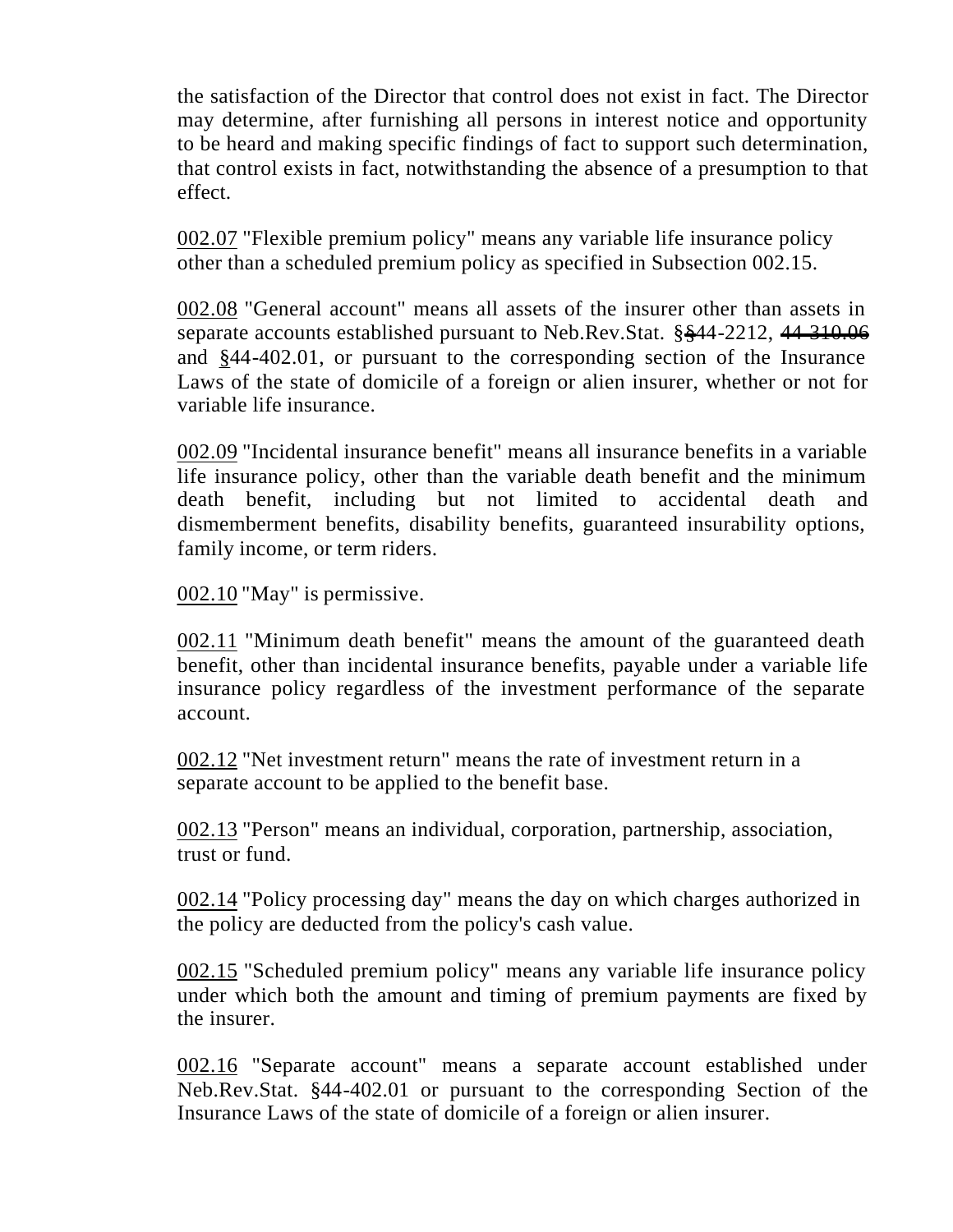the satisfaction of the Director that control does not exist in fact. The Director may determine, after furnishing all persons in interest notice and opportunity to be heard and making specific findings of fact to support such determination, that control exists in fact, notwithstanding the absence of a presumption to that effect.

002.07 "Flexible premium policy" means any variable life insurance policy other than a scheduled premium policy as specified in Subsection 002.15.

002.08 "General account" means all assets of the insurer other than assets in separate accounts established pursuant to Neb.Rev.Stat. §§44-2212, 44-310.06 and §44-402.01, or pursuant to the corresponding section of the Insurance Laws of the state of domicile of a foreign or alien insurer, whether or not for variable life insurance.

002.09 "Incidental insurance benefit" means all insurance benefits in a variable life insurance policy, other than the variable death benefit and the minimum death benefit, including but not limited to accidental death and dismemberment benefits, disability benefits, guaranteed insurability options, family income, or term riders.

002.10 "May" is permissive.

002.11 "Minimum death benefit" means the amount of the guaranteed death benefit, other than incidental insurance benefits, payable under a variable life insurance policy regardless of the investment performance of the separate account.

002.12 "Net investment return" means the rate of investment return in a separate account to be applied to the benefit base.

002.13 "Person" means an individual, corporation, partnership, association, trust or fund.

002.14 "Policy processing day" means the day on which charges authorized in the policy are deducted from the policy's cash value.

002.15 "Scheduled premium policy" means any variable life insurance policy under which both the amount and timing of premium payments are fixed by the insurer.

002.16 "Separate account" means a separate account established under Neb.Rev.Stat. §44-402.01 or pursuant to the corresponding Section of the Insurance Laws of the state of domicile of a foreign or alien insurer.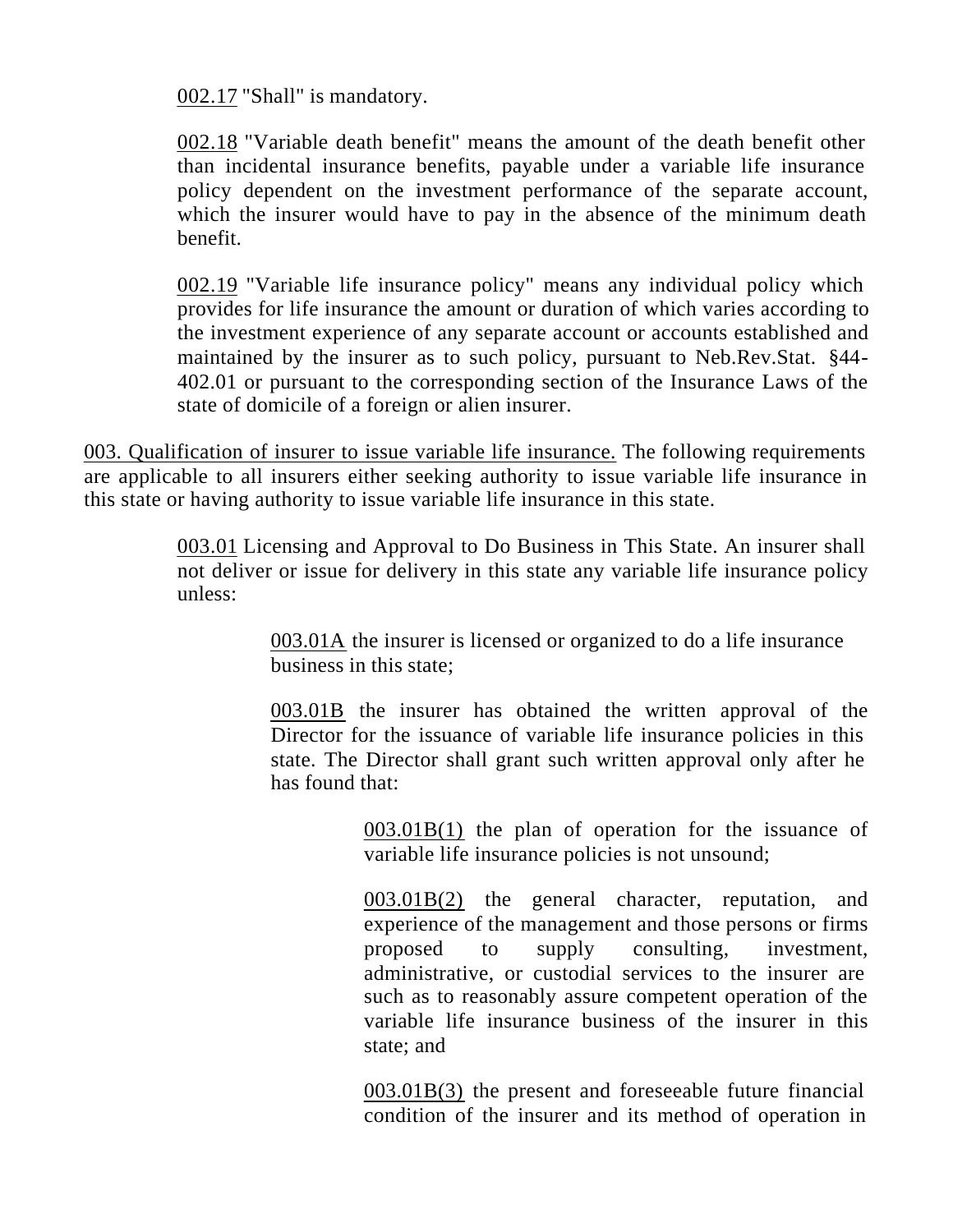002.17 "Shall" is mandatory.

002.18 "Variable death benefit" means the amount of the death benefit other than incidental insurance benefits, payable under a variable life insurance policy dependent on the investment performance of the separate account, which the insurer would have to pay in the absence of the minimum death benefit.

002.19 "Variable life insurance policy" means any individual policy which provides for life insurance the amount or duration of which varies according to the investment experience of any separate account or accounts established and maintained by the insurer as to such policy, pursuant to Neb.Rev.Stat. §44- 402.01 or pursuant to the corresponding section of the Insurance Laws of the state of domicile of a foreign or alien insurer.

003. Qualification of insurer to issue variable life insurance. The following requirements are applicable to all insurers either seeking authority to issue variable life insurance in this state or having authority to issue variable life insurance in this state.

> 003.01 Licensing and Approval to Do Business in This State. An insurer shall not deliver or issue for delivery in this state any variable life insurance policy unless:

> > 003.01A the insurer is licensed or organized to do a life insurance business in this state;

003.01B the insurer has obtained the written approval of the Director for the issuance of variable life insurance policies in this state. The Director shall grant such written approval only after he has found that:

> 003.01B(1) the plan of operation for the issuance of variable life insurance policies is not unsound;

> 003.01B(2) the general character, reputation, and experience of the management and those persons or firms proposed to supply consulting, investment, administrative, or custodial services to the insurer are such as to reasonably assure competent operation of the variable life insurance business of the insurer in this state; and

> 003.01B(3) the present and foreseeable future financial condition of the insurer and its method of operation in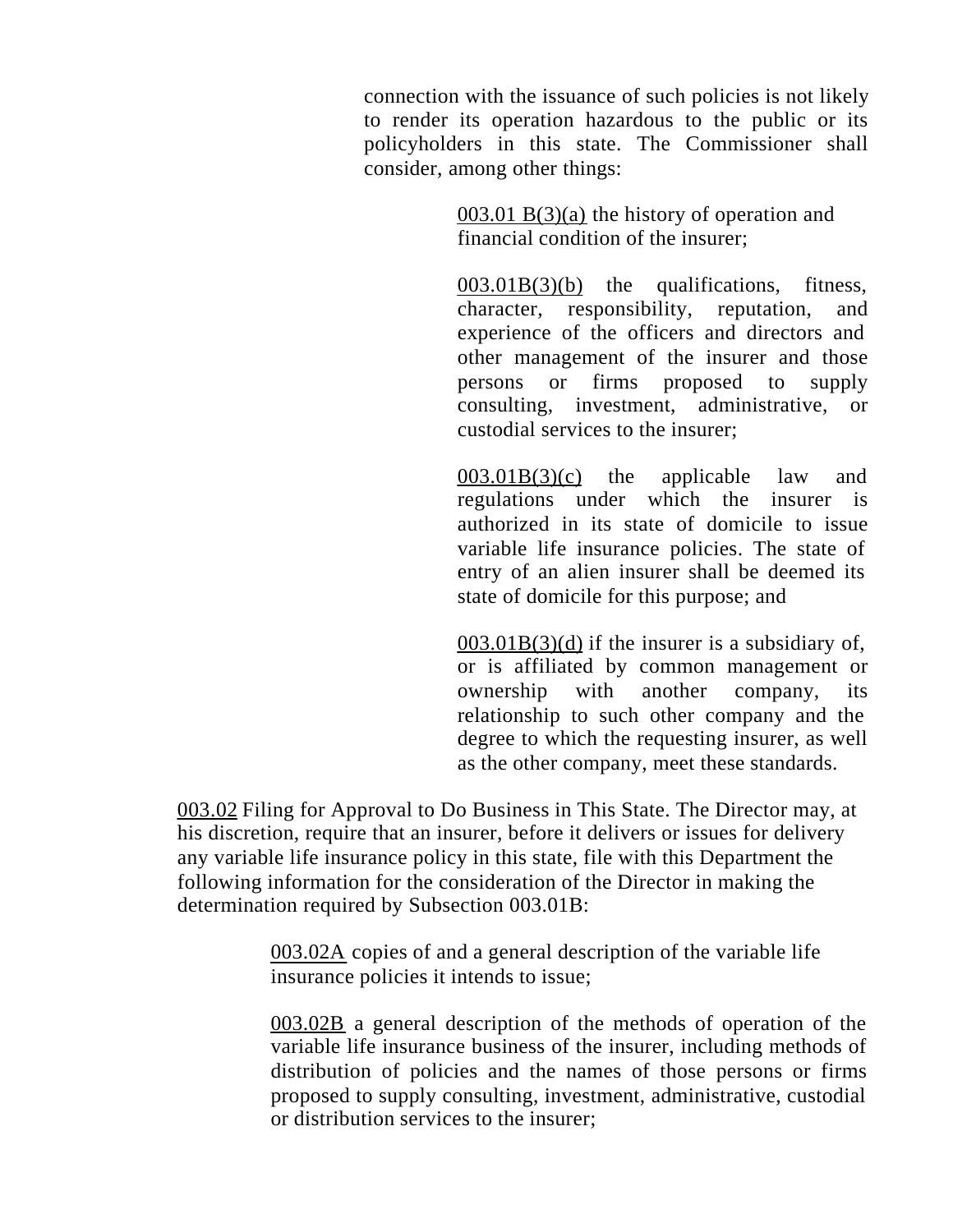connection with the issuance of such policies is not likely to render its operation hazardous to the public or its policyholders in this state. The Commissioner shall consider, among other things:

> 003.01 B(3)(a) the history of operation and financial condition of the insurer;

 $003.01B(3)(b)$  the qualifications, fitness, character, responsibility, reputation, and experience of the officers and directors and other management of the insurer and those persons or firms proposed to supply consulting, investment, administrative, or custodial services to the insurer;

003.01B(3)(c) the applicable law and regulations under which the insurer is authorized in its state of domicile to issue variable life insurance policies. The state of entry of an alien insurer shall be deemed its state of domicile for this purpose; and

 $003.01B(3)(d)$  if the insurer is a subsidiary of, or is affiliated by common management or ownership with another company, its relationship to such other company and the degree to which the requesting insurer, as well as the other company, meet these standards.

003.02 Filing for Approval to Do Business in This State. The Director may, at his discretion, require that an insurer, before it delivers or issues for delivery any variable life insurance policy in this state, file with this Department the following information for the consideration of the Director in making the determination required by Subsection 003.01B:

> 003.02A copies of and a general description of the variable life insurance policies it intends to issue;

003.02B a general description of the methods of operation of the variable life insurance business of the insurer, including methods of distribution of policies and the names of those persons or firms proposed to supply consulting, investment, administrative, custodial or distribution services to the insurer;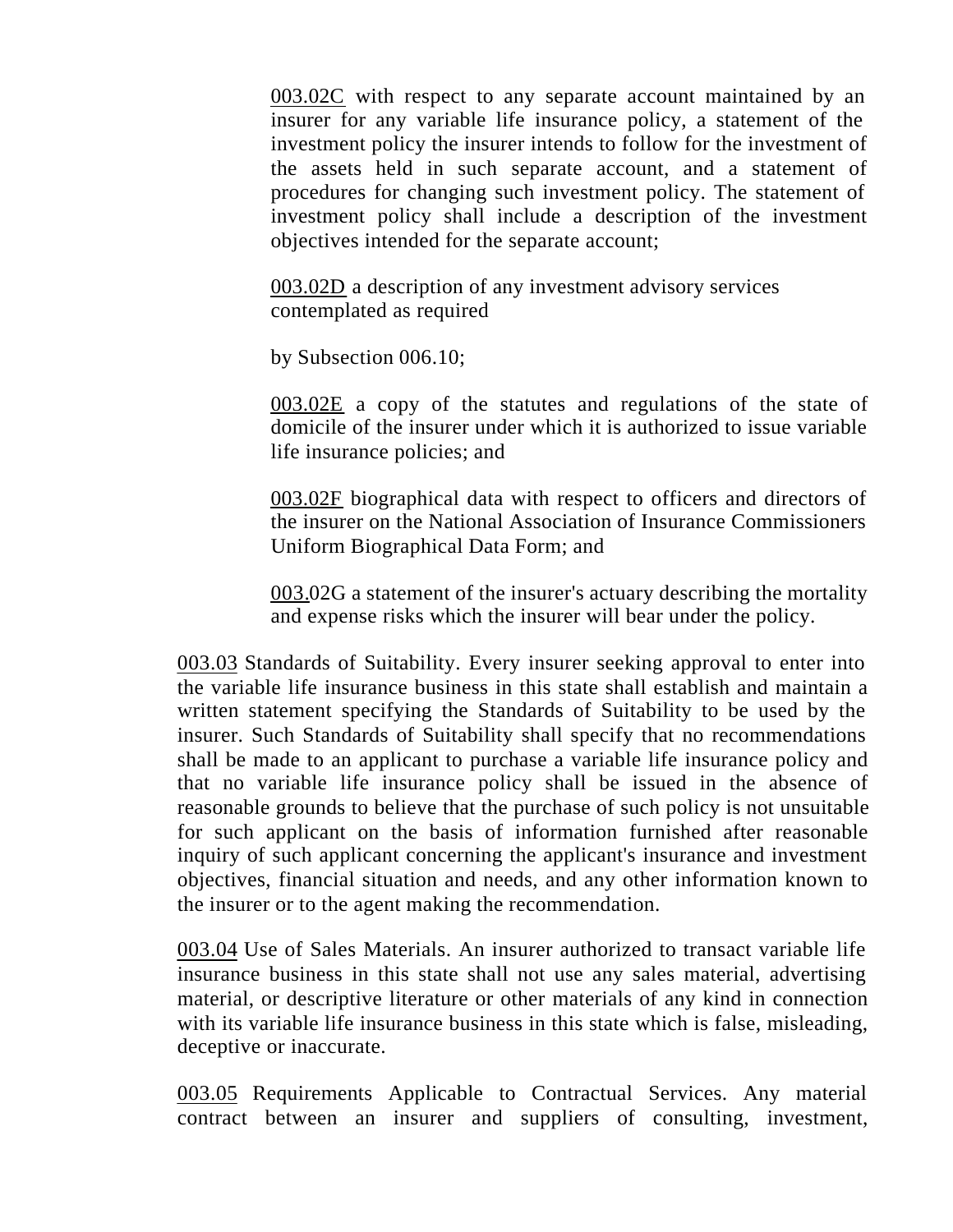003.02C with respect to any separate account maintained by an insurer for any variable life insurance policy, a statement of the investment policy the insurer intends to follow for the investment of the assets held in such separate account, and a statement of procedures for changing such investment policy. The statement of investment policy shall include a description of the investment objectives intended for the separate account;

003.02D a description of any investment advisory services contemplated as required

by Subsection 006.10;

003.02E a copy of the statutes and regulations of the state of domicile of the insurer under which it is authorized to issue variable life insurance policies; and

003.02F biographical data with respect to officers and directors of the insurer on the National Association of Insurance Commissioners Uniform Biographical Data Form; and

003.02G a statement of the insurer's actuary describing the mortality and expense risks which the insurer will bear under the policy.

003.03 Standards of Suitability. Every insurer seeking approval to enter into the variable life insurance business in this state shall establish and maintain a written statement specifying the Standards of Suitability to be used by the insurer. Such Standards of Suitability shall specify that no recommendations shall be made to an applicant to purchase a variable life insurance policy and that no variable life insurance policy shall be issued in the absence of reasonable grounds to believe that the purchase of such policy is not unsuitable for such applicant on the basis of information furnished after reasonable inquiry of such applicant concerning the applicant's insurance and investment objectives, financial situation and needs, and any other information known to the insurer or to the agent making the recommendation.

003.04 Use of Sales Materials. An insurer authorized to transact variable life insurance business in this state shall not use any sales material, advertising material, or descriptive literature or other materials of any kind in connection with its variable life insurance business in this state which is false, misleading, deceptive or inaccurate.

003.05 Requirements Applicable to Contractual Services. Any material contract between an insurer and suppliers of consulting, investment,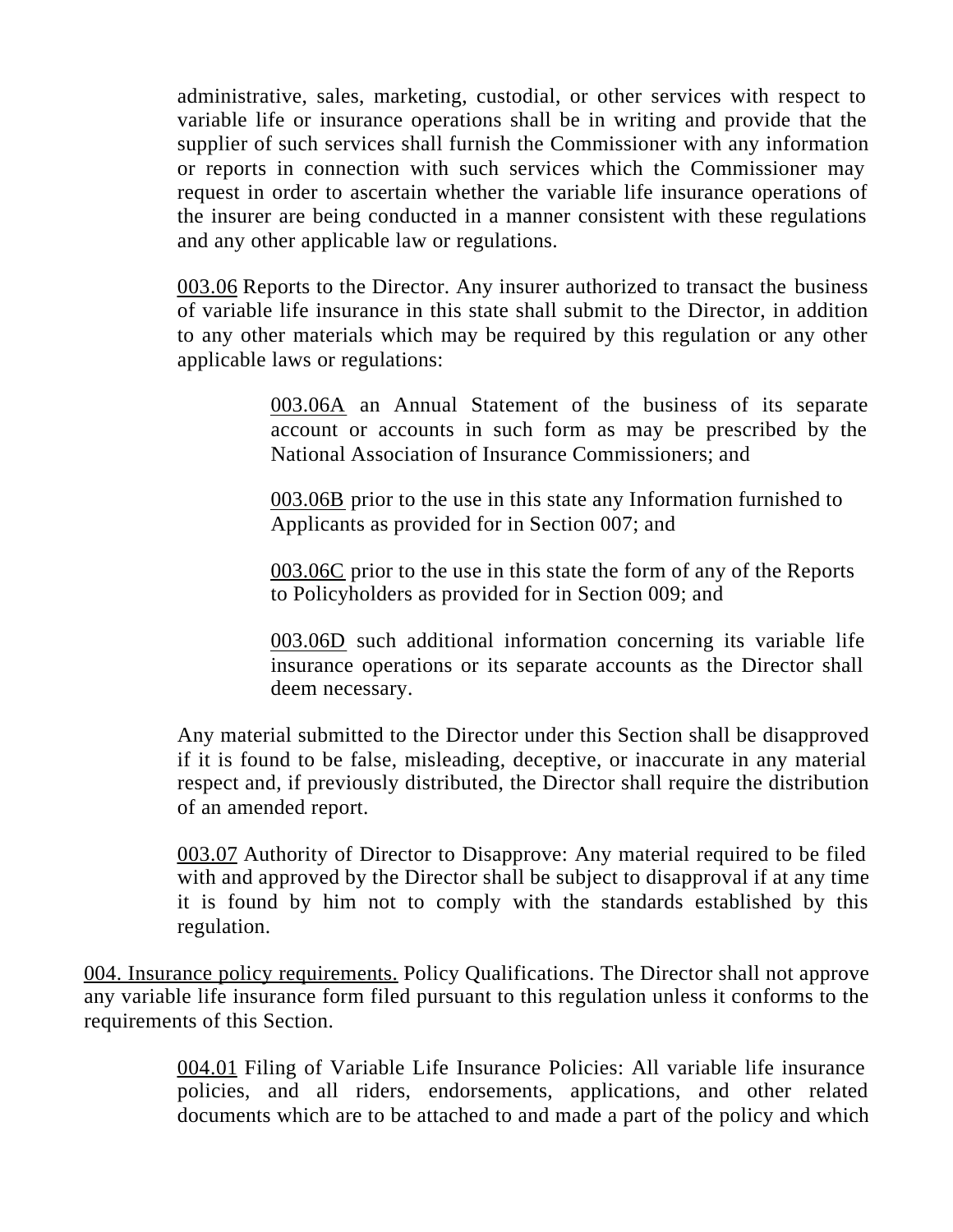administrative, sales, marketing, custodial, or other services with respect to variable life or insurance operations shall be in writing and provide that the supplier of such services shall furnish the Commissioner with any information or reports in connection with such services which the Commissioner may request in order to ascertain whether the variable life insurance operations of the insurer are being conducted in a manner consistent with these regulations and any other applicable law or regulations.

003.06 Reports to the Director. Any insurer authorized to transact the business of variable life insurance in this state shall submit to the Director, in addition to any other materials which may be required by this regulation or any other applicable laws or regulations:

> 003.06A an Annual Statement of the business of its separate account or accounts in such form as may be prescribed by the National Association of Insurance Commissioners; and

003.06B prior to the use in this state any Information furnished to Applicants as provided for in Section 007; and

003.06C prior to the use in this state the form of any of the Reports to Policyholders as provided for in Section 009; and

003.06D such additional information concerning its variable life insurance operations or its separate accounts as the Director shall deem necessary.

Any material submitted to the Director under this Section shall be disapproved if it is found to be false, misleading, deceptive, or inaccurate in any material respect and, if previously distributed, the Director shall require the distribution of an amended report.

003.07 Authority of Director to Disapprove: Any material required to be filed with and approved by the Director shall be subject to disapproval if at any time it is found by him not to comply with the standards established by this regulation.

004. Insurance policy requirements. Policy Qualifications. The Director shall not approve any variable life insurance form filed pursuant to this regulation unless it conforms to the requirements of this Section.

> 004.01 Filing of Variable Life Insurance Policies: All variable life insurance policies, and all riders, endorsements, applications, and other related documents which are to be attached to and made a part of the policy and which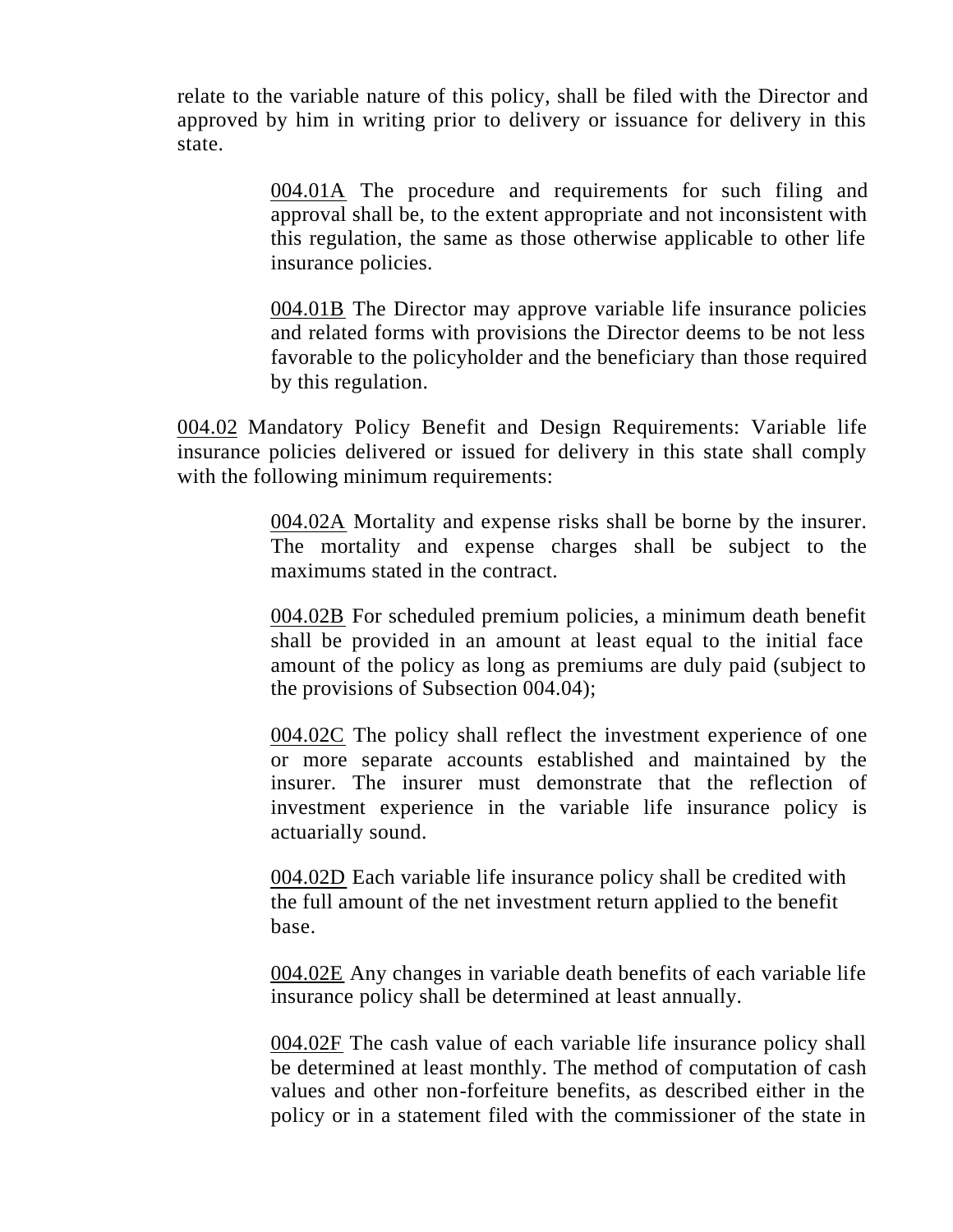relate to the variable nature of this policy, shall be filed with the Director and approved by him in writing prior to delivery or issuance for delivery in this state.

> 004.01A The procedure and requirements for such filing and approval shall be, to the extent appropriate and not inconsistent with this regulation, the same as those otherwise applicable to other life insurance policies.

> 004.01B The Director may approve variable life insurance policies and related forms with provisions the Director deems to be not less favorable to the policyholder and the beneficiary than those required by this regulation.

004.02 Mandatory Policy Benefit and Design Requirements: Variable life insurance policies delivered or issued for delivery in this state shall comply with the following minimum requirements:

> 004.02A Mortality and expense risks shall be borne by the insurer. The mortality and expense charges shall be subject to the maximums stated in the contract.

> 004.02B For scheduled premium policies, a minimum death benefit shall be provided in an amount at least equal to the initial face amount of the policy as long as premiums are duly paid (subject to the provisions of Subsection 004.04);

> 004.02C The policy shall reflect the investment experience of one or more separate accounts established and maintained by the insurer. The insurer must demonstrate that the reflection of investment experience in the variable life insurance policy is actuarially sound.

004.02D Each variable life insurance policy shall be credited with the full amount of the net investment return applied to the benefit base.

004.02E Any changes in variable death benefits of each variable life insurance policy shall be determined at least annually.

004.02F The cash value of each variable life insurance policy shall be determined at least monthly. The method of computation of cash values and other non-forfeiture benefits, as described either in the policy or in a statement filed with the commissioner of the state in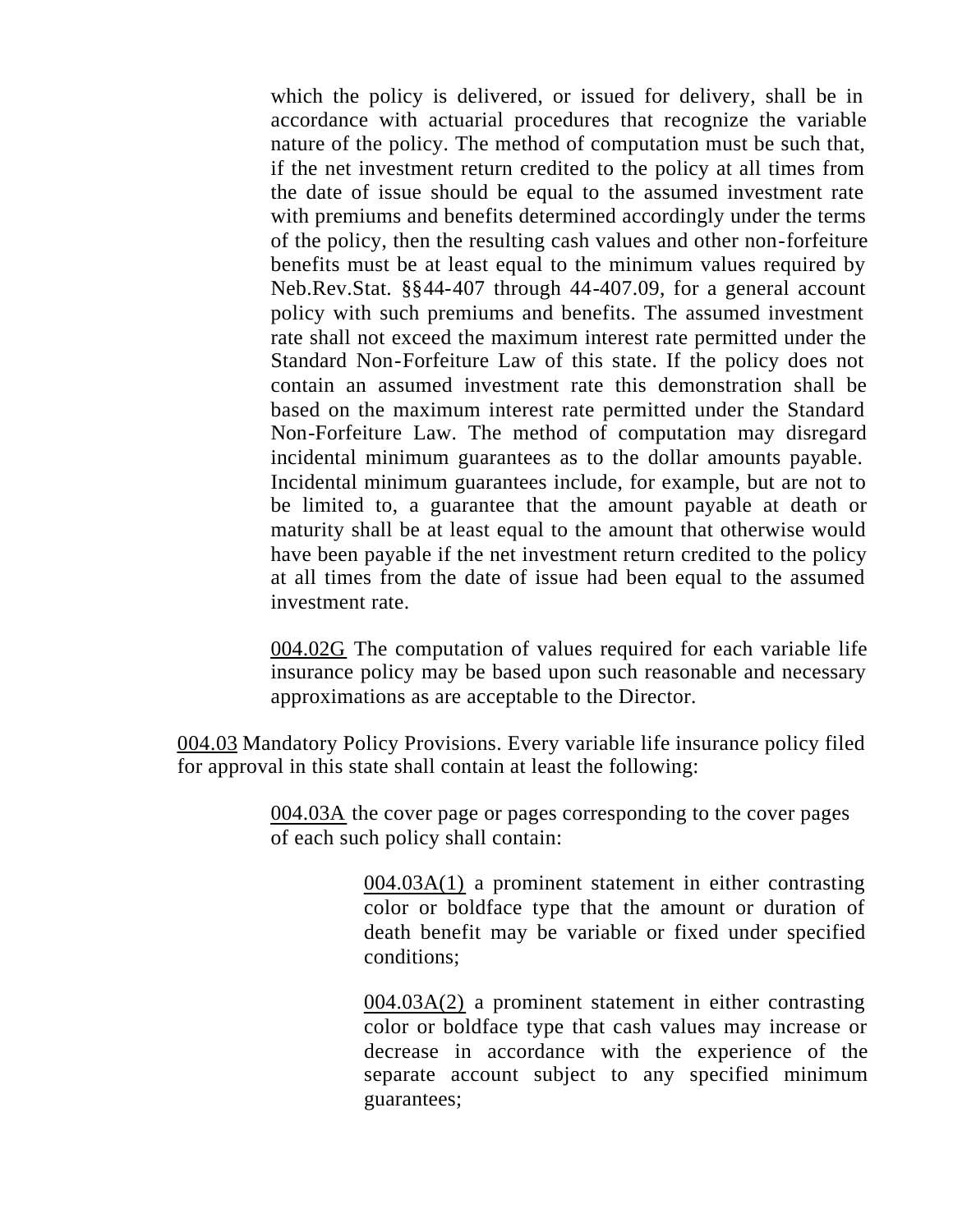which the policy is delivered, or issued for delivery, shall be in accordance with actuarial procedures that recognize the variable nature of the policy. The method of computation must be such that, if the net investment return credited to the policy at all times from the date of issue should be equal to the assumed investment rate with premiums and benefits determined accordingly under the terms of the policy, then the resulting cash values and other non-forfeiture benefits must be at least equal to the minimum values required by Neb.Rev.Stat. §§44-407 through 44-407.09, for a general account policy with such premiums and benefits. The assumed investment rate shall not exceed the maximum interest rate permitted under the Standard Non-Forfeiture Law of this state. If the policy does not contain an assumed investment rate this demonstration shall be based on the maximum interest rate permitted under the Standard Non-Forfeiture Law. The method of computation may disregard incidental minimum guarantees as to the dollar amounts payable. Incidental minimum guarantees include, for example, but are not to be limited to, a guarantee that the amount payable at death or maturity shall be at least equal to the amount that otherwise would have been payable if the net investment return credited to the policy at all times from the date of issue had been equal to the assumed investment rate.

004.02G The computation of values required for each variable life insurance policy may be based upon such reasonable and necessary approximations as are acceptable to the Director.

004.03 Mandatory Policy Provisions. Every variable life insurance policy filed for approval in this state shall contain at least the following:

> 004.03A the cover page or pages corresponding to the cover pages of each such policy shall contain:

> > 004.03A(1) a prominent statement in either contrasting color or boldface type that the amount or duration of death benefit may be variable or fixed under specified conditions;

> > 004.03A(2) a prominent statement in either contrasting color or boldface type that cash values may increase or decrease in accordance with the experience of the separate account subject to any specified minimum guarantees;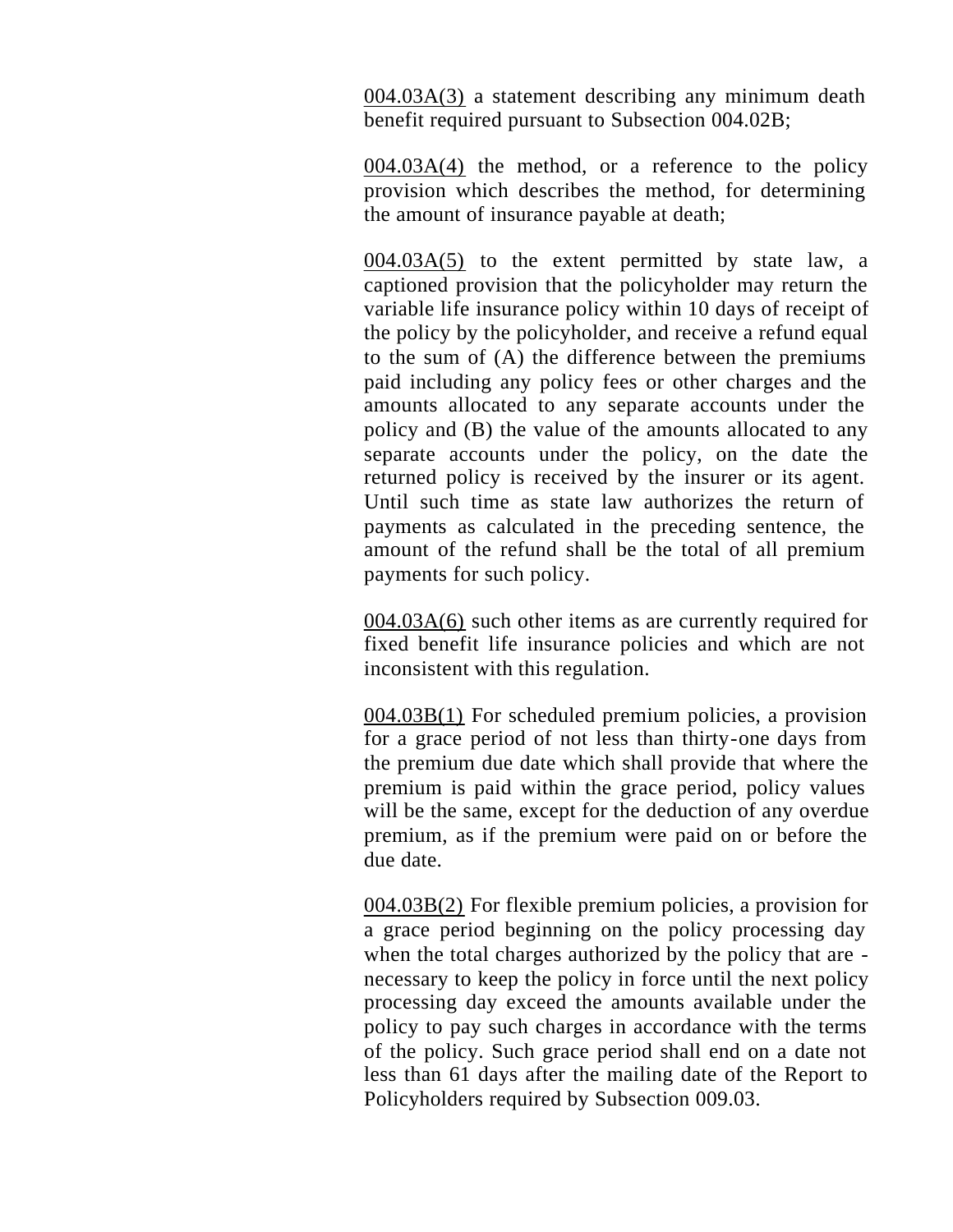004.03A(3) a statement describing any minimum death benefit required pursuant to Subsection 004.02B;

 $004.03A(4)$  the method, or a reference to the policy provision which describes the method, for determining the amount of insurance payable at death;

004.03A(5) to the extent permitted by state law, a captioned provision that the policyholder may return the variable life insurance policy within 10 days of receipt of the policy by the policyholder, and receive a refund equal to the sum of (A) the difference between the premiums paid including any policy fees or other charges and the amounts allocated to any separate accounts under the policy and (B) the value of the amounts allocated to any separate accounts under the policy, on the date the returned policy is received by the insurer or its agent. Until such time as state law authorizes the return of payments as calculated in the preceding sentence, the amount of the refund shall be the total of all premium payments for such policy.

004.03A(6) such other items as are currently required for fixed benefit life insurance policies and which are not inconsistent with this regulation.

004.03B(1) For scheduled premium policies, a provision for a grace period of not less than thirty-one days from the premium due date which shall provide that where the premium is paid within the grace period, policy values will be the same, except for the deduction of any overdue premium, as if the premium were paid on or before the due date.

004.03B(2) For flexible premium policies, a provision for a grace period beginning on the policy processing day when the total charges authorized by the policy that are necessary to keep the policy in force until the next policy processing day exceed the amounts available under the policy to pay such charges in accordance with the terms of the policy. Such grace period shall end on a date not less than 61 days after the mailing date of the Report to Policyholders required by Subsection 009.03.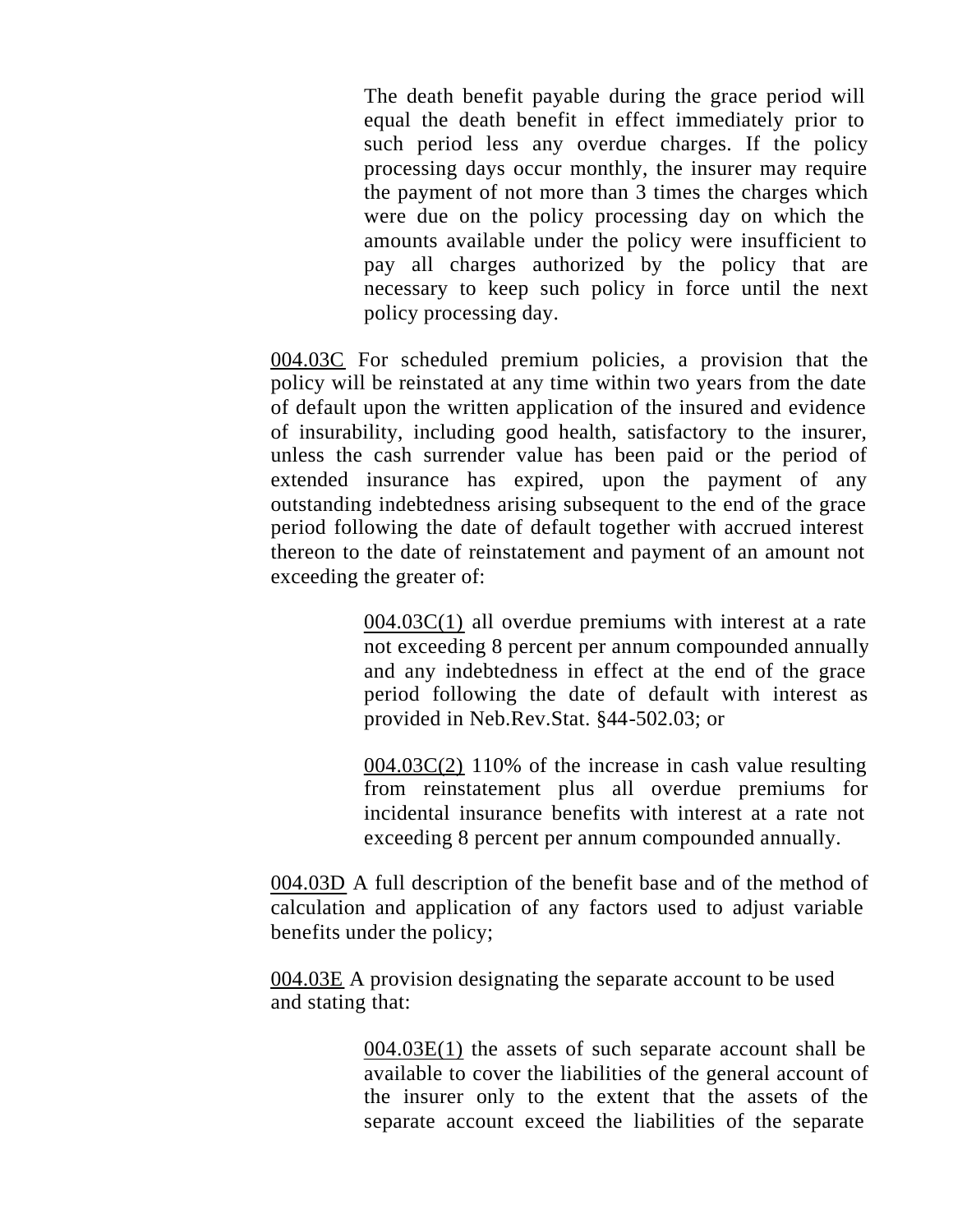The death benefit payable during the grace period will equal the death benefit in effect immediately prior to such period less any overdue charges. If the policy processing days occur monthly, the insurer may require the payment of not more than 3 times the charges which were due on the policy processing day on which the amounts available under the policy were insufficient to pay all charges authorized by the policy that are necessary to keep such policy in force until the next policy processing day.

004.03C For scheduled premium policies, a provision that the policy will be reinstated at any time within two years from the date of default upon the written application of the insured and evidence of insurability, including good health, satisfactory to the insurer, unless the cash surrender value has been paid or the period of extended insurance has expired, upon the payment of any outstanding indebtedness arising subsequent to the end of the grace period following the date of default together with accrued interest thereon to the date of reinstatement and payment of an amount not exceeding the greater of:

> $004.03C(1)$  all overdue premiums with interest at a rate not exceeding 8 percent per annum compounded annually and any indebtedness in effect at the end of the grace period following the date of default with interest as provided in Neb.Rev.Stat. §44-502.03; or

> 004.03C(2) 110% of the increase in cash value resulting from reinstatement plus all overdue premiums for incidental insurance benefits with interest at a rate not exceeding 8 percent per annum compounded annually.

004.03D A full description of the benefit base and of the method of calculation and application of any factors used to adjust variable benefits under the policy;

004.03E A provision designating the separate account to be used and stating that:

> 004.03E(1) the assets of such separate account shall be available to cover the liabilities of the general account of the insurer only to the extent that the assets of the separate account exceed the liabilities of the separate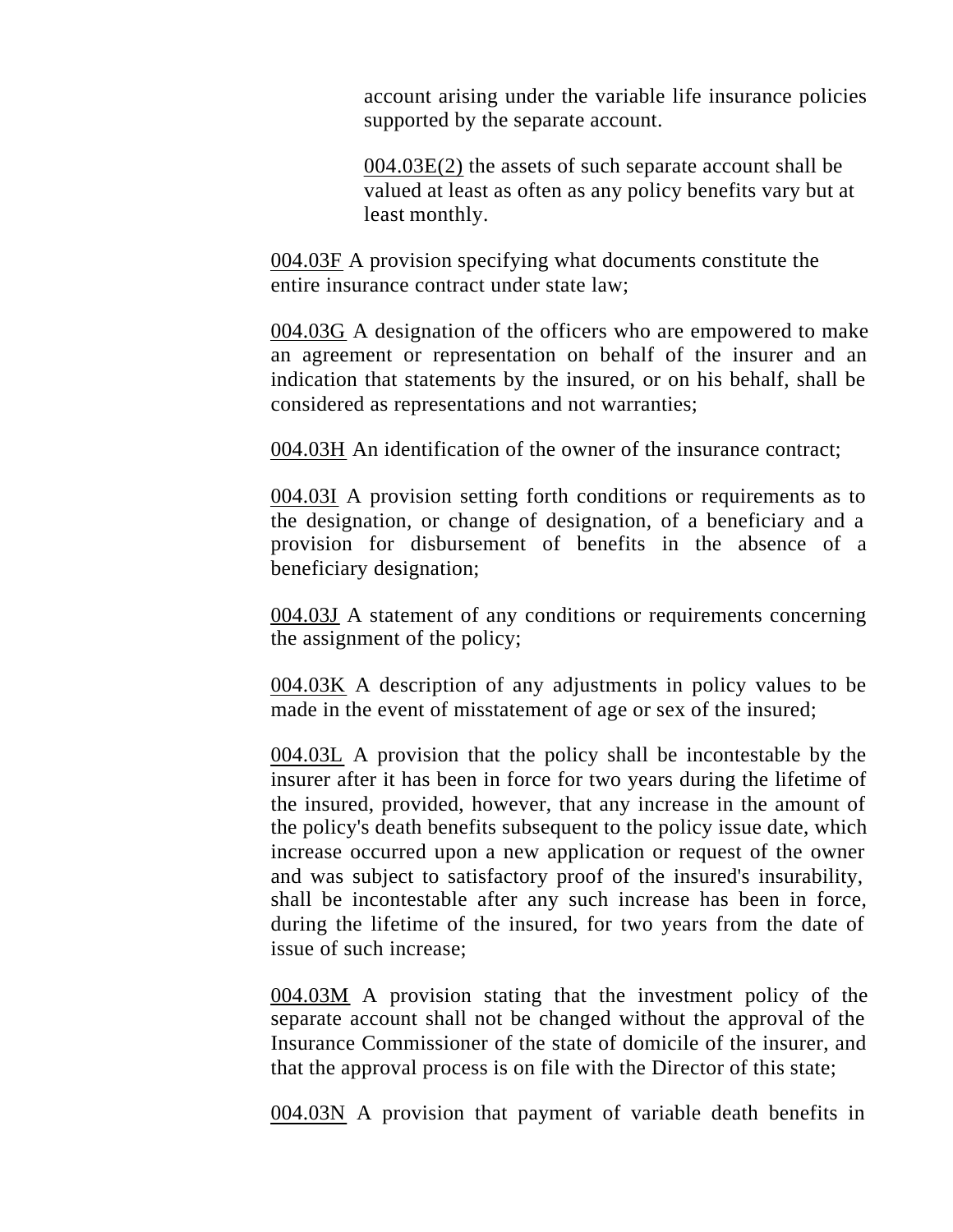account arising under the variable life insurance policies supported by the separate account.

004.03E(2) the assets of such separate account shall be valued at least as often as any policy benefits vary but at least monthly.

004.03F A provision specifying what documents constitute the entire insurance contract under state law;

004.03G A designation of the officers who are empowered to make an agreement or representation on behalf of the insurer and an indication that statements by the insured, or on his behalf, shall be considered as representations and not warranties;

004.03H An identification of the owner of the insurance contract;

004.03I A provision setting forth conditions or requirements as to the designation, or change of designation, of a beneficiary and a provision for disbursement of benefits in the absence of a beneficiary designation;

004.03J A statement of any conditions or requirements concerning the assignment of the policy;

004.03K A description of any adjustments in policy values to be made in the event of misstatement of age or sex of the insured;

004.03L A provision that the policy shall be incontestable by the insurer after it has been in force for two years during the lifetime of the insured, provided, however, that any increase in the amount of the policy's death benefits subsequent to the policy issue date, which increase occurred upon a new application or request of the owner and was subject to satisfactory proof of the insured's insurability, shall be incontestable after any such increase has been in force, during the lifetime of the insured, for two years from the date of issue of such increase;

004.03M A provision stating that the investment policy of the separate account shall not be changed without the approval of the Insurance Commissioner of the state of domicile of the insurer, and that the approval process is on file with the Director of this state;

004.03N A provision that payment of variable death benefits in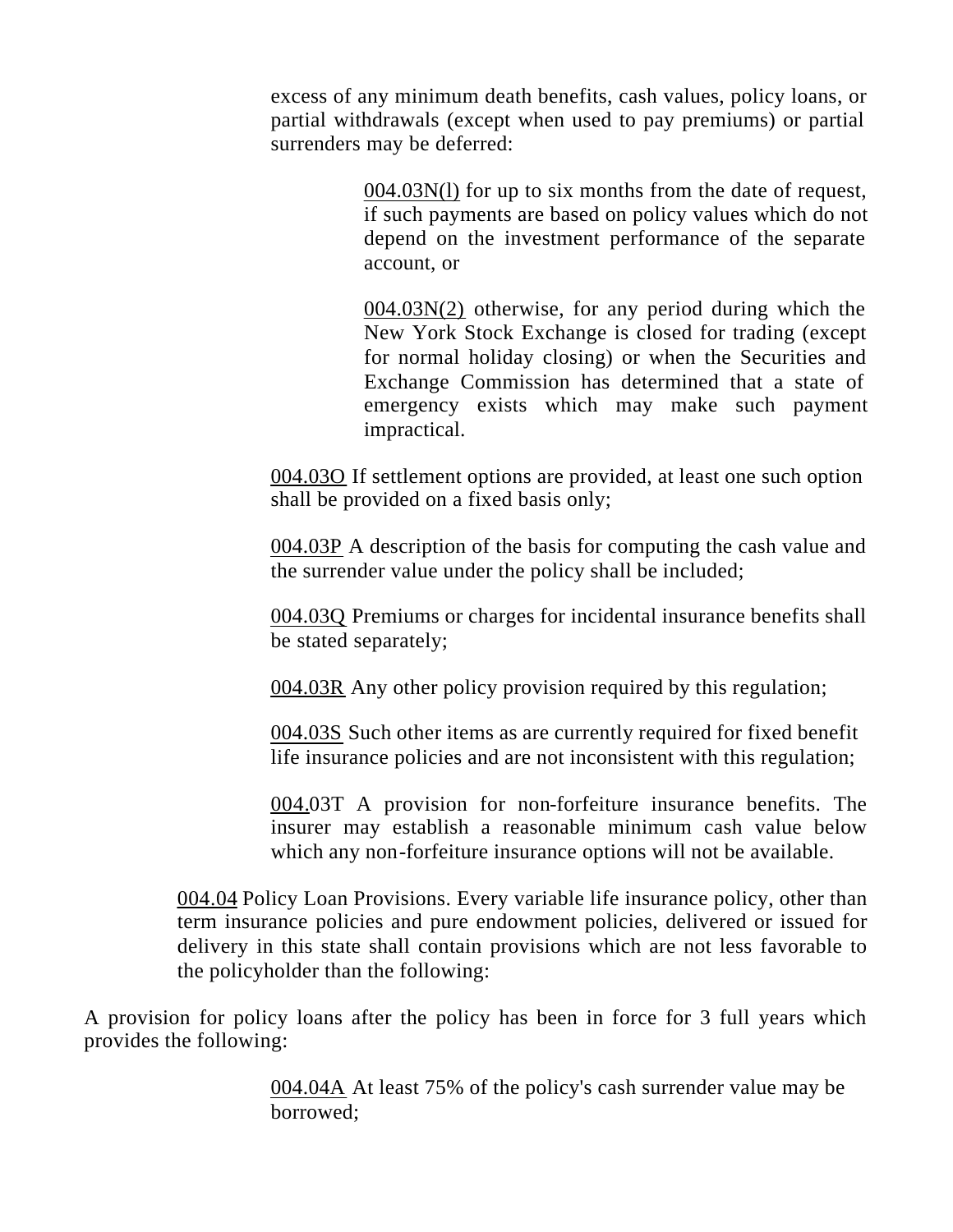excess of any minimum death benefits, cash values, policy loans, or partial withdrawals (except when used to pay premiums) or partial surrenders may be deferred:

> 004.03N(l) for up to six months from the date of request, if such payments are based on policy values which do not depend on the investment performance of the separate account, or

> 004.03N(2) otherwise, for any period during which the New York Stock Exchange is closed for trading (except for normal holiday closing) or when the Securities and Exchange Commission has determined that a state of emergency exists which may make such payment impractical.

004.03O If settlement options are provided, at least one such option shall be provided on a fixed basis only;

004.03P A description of the basis for computing the cash value and the surrender value under the policy shall be included;

004.03Q Premiums or charges for incidental insurance benefits shall be stated separately;

004.03R Any other policy provision required by this regulation;

004.03S Such other items as are currently required for fixed benefit life insurance policies and are not inconsistent with this regulation;

004.03T A provision for non-forfeiture insurance benefits. The insurer may establish a reasonable minimum cash value below which any non-forfeiture insurance options will not be available.

004.04 Policy Loan Provisions. Every variable life insurance policy, other than term insurance policies and pure endowment policies, delivered or issued for delivery in this state shall contain provisions which are not less favorable to the policyholder than the following:

A provision for policy loans after the policy has been in force for 3 full years which provides the following:

> 004.04A At least 75% of the policy's cash surrender value may be borrowed;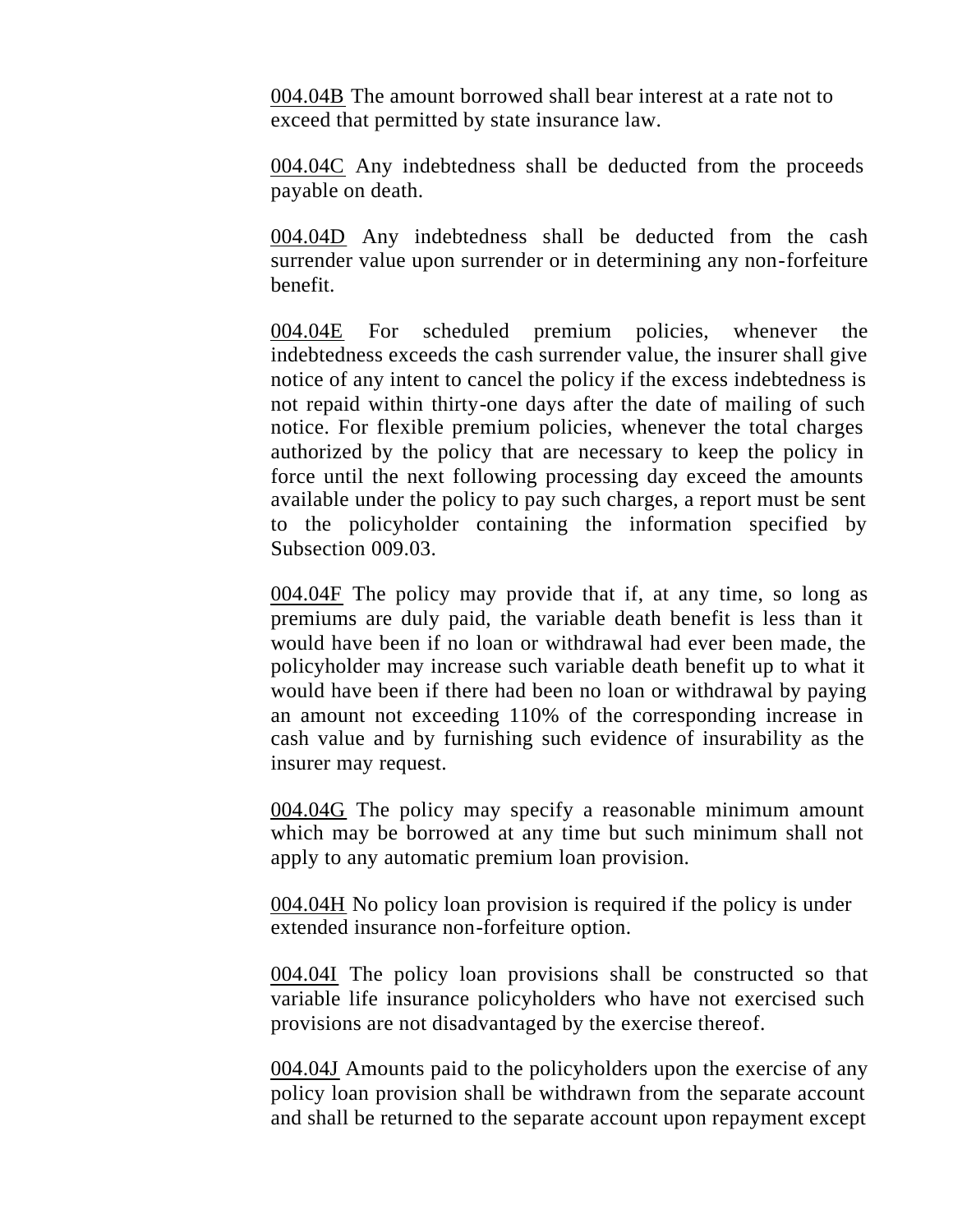004.04B The amount borrowed shall bear interest at a rate not to exceed that permitted by state insurance law.

004.04C Any indebtedness shall be deducted from the proceeds payable on death.

004.04D Any indebtedness shall be deducted from the cash surrender value upon surrender or in determining any non-forfeiture benefit.

004.04E For scheduled premium policies, whenever the indebtedness exceeds the cash surrender value, the insurer shall give notice of any intent to cancel the policy if the excess indebtedness is not repaid within thirty-one days after the date of mailing of such notice. For flexible premium policies, whenever the total charges authorized by the policy that are necessary to keep the policy in force until the next following processing day exceed the amounts available under the policy to pay such charges, a report must be sent to the policyholder containing the information specified by Subsection 009.03.

004.04F The policy may provide that if, at any time, so long as premiums are duly paid, the variable death benefit is less than it would have been if no loan or withdrawal had ever been made, the policyholder may increase such variable death benefit up to what it would have been if there had been no loan or withdrawal by paying an amount not exceeding 110% of the corresponding increase in cash value and by furnishing such evidence of insurability as the insurer may request.

004.04G The policy may specify a reasonable minimum amount which may be borrowed at any time but such minimum shall not apply to any automatic premium loan provision.

004.04H No policy loan provision is required if the policy is under extended insurance non-forfeiture option.

004.04I The policy loan provisions shall be constructed so that variable life insurance policyholders who have not exercised such provisions are not disadvantaged by the exercise thereof.

004.04J Amounts paid to the policyholders upon the exercise of any policy loan provision shall be withdrawn from the separate account and shall be returned to the separate account upon repayment except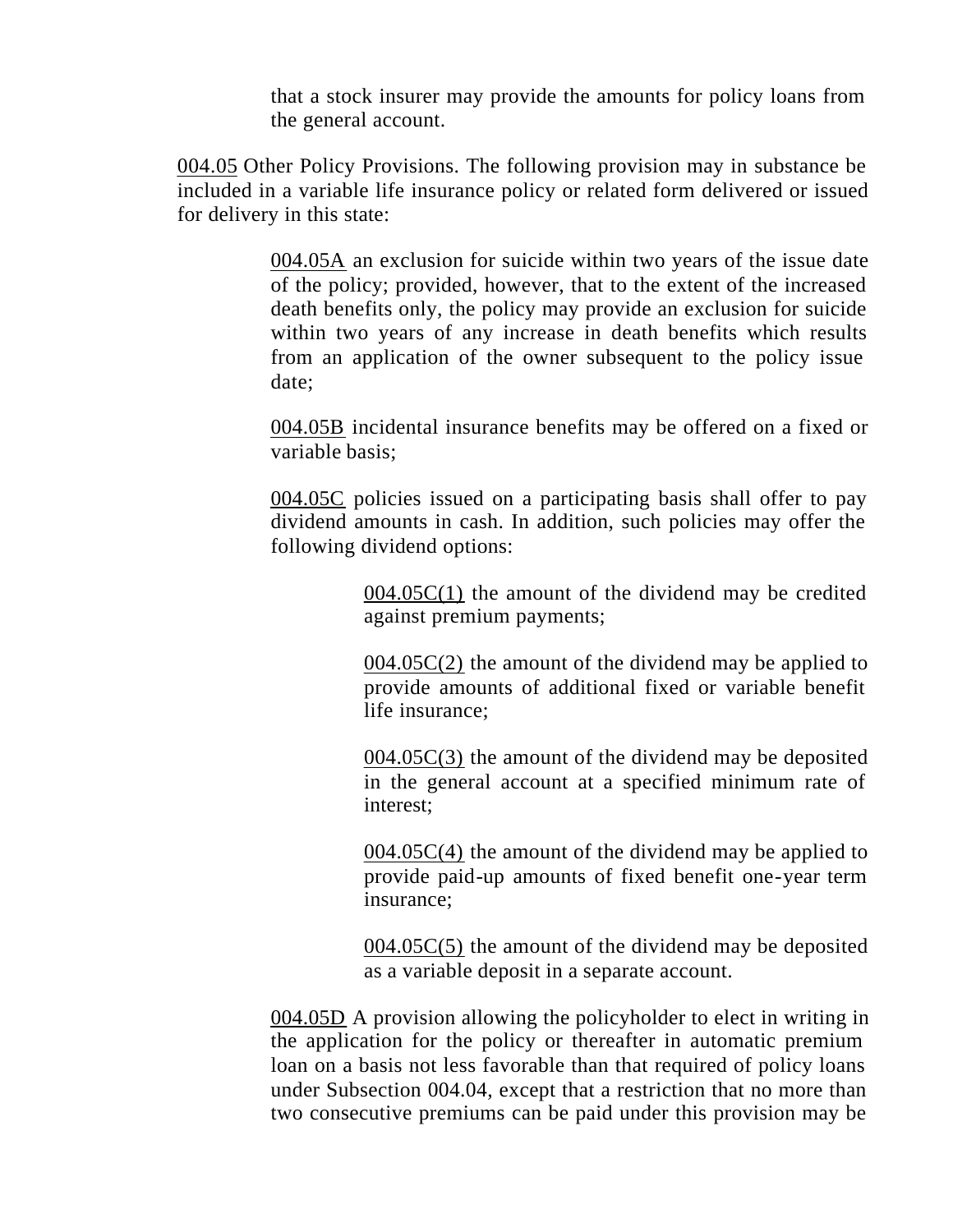that a stock insurer may provide the amounts for policy loans from the general account.

004.05 Other Policy Provisions. The following provision may in substance be included in a variable life insurance policy or related form delivered or issued for delivery in this state:

> 004.05A an exclusion for suicide within two years of the issue date of the policy; provided, however, that to the extent of the increased death benefits only, the policy may provide an exclusion for suicide within two years of any increase in death benefits which results from an application of the owner subsequent to the policy issue date;

> 004.05B incidental insurance benefits may be offered on a fixed or variable basis;

> 004.05C policies issued on a participating basis shall offer to pay dividend amounts in cash. In addition, such policies may offer the following dividend options:

> > $004.05C(1)$  the amount of the dividend may be credited against premium payments;

> > $004.05C(2)$  the amount of the dividend may be applied to provide amounts of additional fixed or variable benefit life insurance;

> > $004.05C(3)$  the amount of the dividend may be deposited in the general account at a specified minimum rate of interest;

> > 004.05C(4) the amount of the dividend may be applied to provide paid-up amounts of fixed benefit one-year term insurance;

> > 004.05C(5) the amount of the dividend may be deposited as a variable deposit in a separate account.

004.05D A provision allowing the policyholder to elect in writing in the application for the policy or thereafter in automatic premium loan on a basis not less favorable than that required of policy loans under Subsection 004.04, except that a restriction that no more than two consecutive premiums can be paid under this provision may be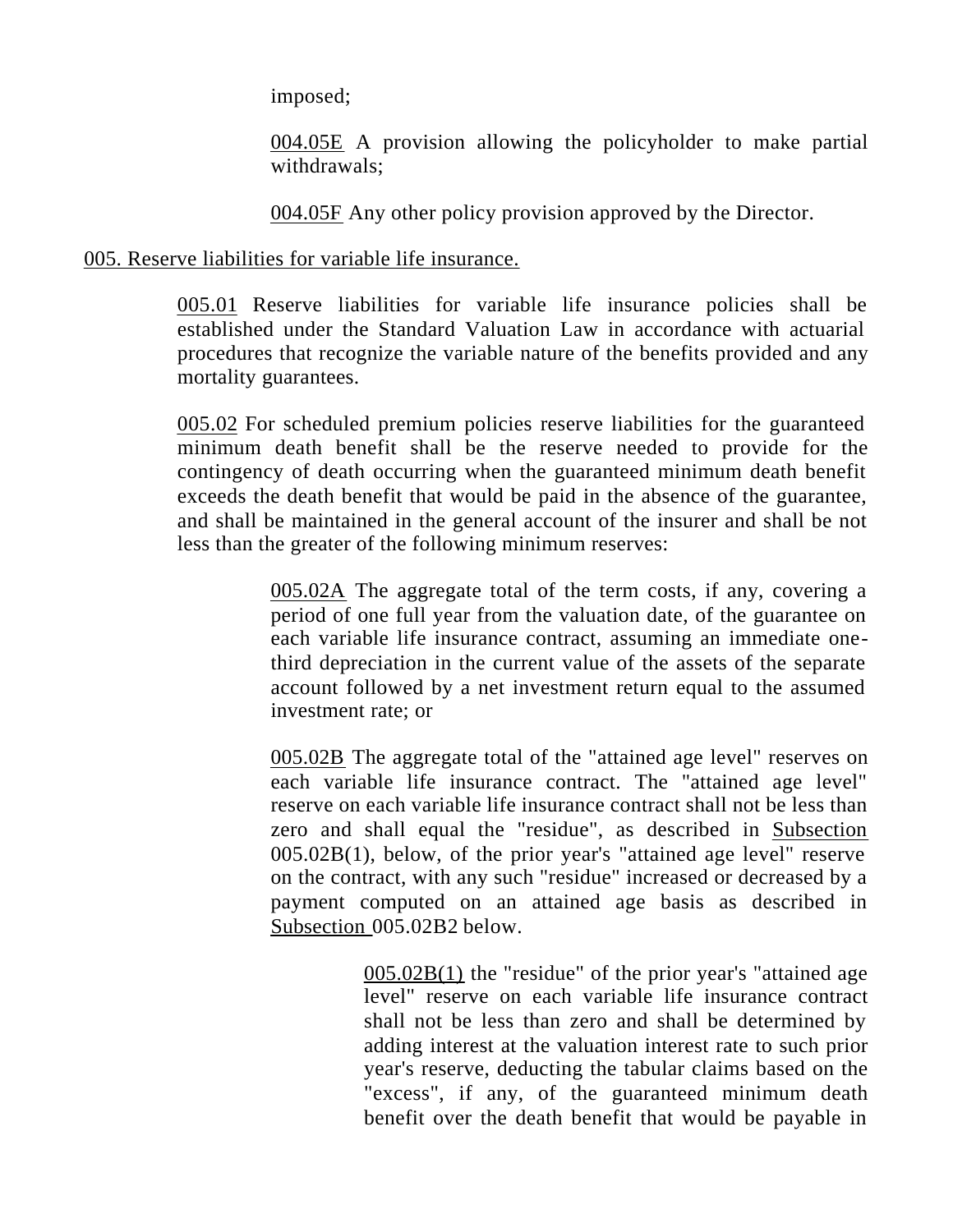imposed;

004.05E A provision allowing the policyholder to make partial withdrawals;

004.05F Any other policy provision approved by the Director.

005. Reserve liabilities for variable life insurance.

005.01 Reserve liabilities for variable life insurance policies shall be established under the Standard Valuation Law in accordance with actuarial procedures that recognize the variable nature of the benefits provided and any mortality guarantees.

005.02 For scheduled premium policies reserve liabilities for the guaranteed minimum death benefit shall be the reserve needed to provide for the contingency of death occurring when the guaranteed minimum death benefit exceeds the death benefit that would be paid in the absence of the guarantee, and shall be maintained in the general account of the insurer and shall be not less than the greater of the following minimum reserves:

> 005.02A The aggregate total of the term costs, if any, covering a period of one full year from the valuation date, of the guarantee on each variable life insurance contract, assuming an immediate onethird depreciation in the current value of the assets of the separate account followed by a net investment return equal to the assumed investment rate; or

> 005.02B The aggregate total of the "attained age level" reserves on each variable life insurance contract. The "attained age level" reserve on each variable life insurance contract shall not be less than zero and shall equal the "residue", as described in Subsection 005.02B(1), below, of the prior year's "attained age level" reserve on the contract, with any such "residue" increased or decreased by a payment computed on an attained age basis as described in Subsection 005.02B2 below.

> > 005.02B(1) the "residue" of the prior year's "attained age level" reserve on each variable life insurance contract shall not be less than zero and shall be determined by adding interest at the valuation interest rate to such prior year's reserve, deducting the tabular claims based on the "excess", if any, of the guaranteed minimum death benefit over the death benefit that would be payable in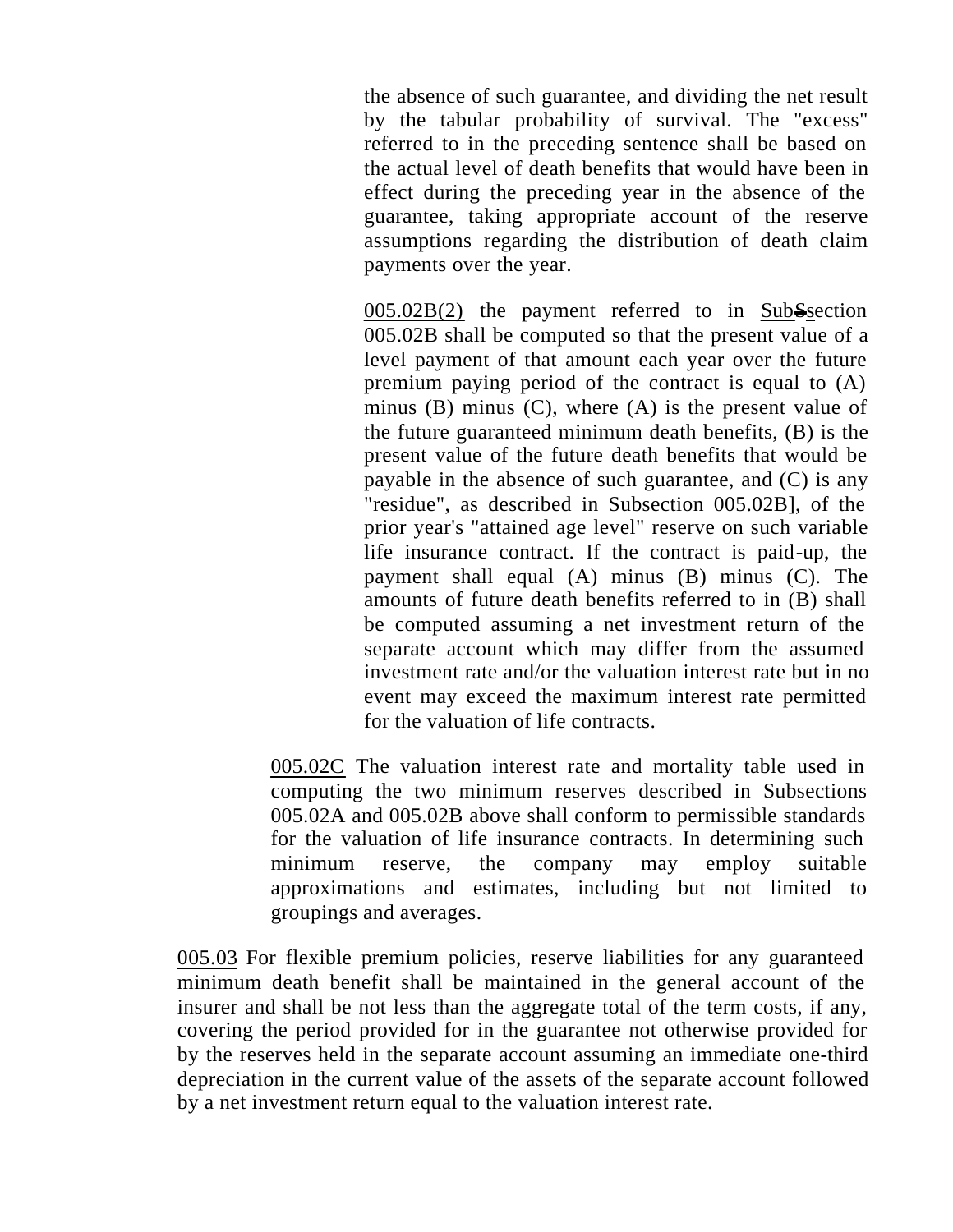the absence of such guarantee, and dividing the net result by the tabular probability of survival. The "excess" referred to in the preceding sentence shall be based on the actual level of death benefits that would have been in effect during the preceding year in the absence of the guarantee, taking appropriate account of the reserve assumptions regarding the distribution of death claim payments over the year.

 $005.02B(2)$  the payment referred to in SubSsection 005.02B shall be computed so that the present value of a level payment of that amount each year over the future premium paying period of the contract is equal to (A) minus  $(B)$  minus  $(C)$ , where  $(A)$  is the present value of the future guaranteed minimum death benefits, (B) is the present value of the future death benefits that would be payable in the absence of such guarantee, and (C) is any "residue", as described in Subsection 005.02B], of the prior year's "attained age level" reserve on such variable life insurance contract. If the contract is paid-up, the payment shall equal (A) minus (B) minus (C). The amounts of future death benefits referred to in (B) shall be computed assuming a net investment return of the separate account which may differ from the assumed investment rate and/or the valuation interest rate but in no event may exceed the maximum interest rate permitted for the valuation of life contracts.

005.02C The valuation interest rate and mortality table used in computing the two minimum reserves described in Subsections 005.02A and 005.02B above shall conform to permissible standards for the valuation of life insurance contracts. In determining such minimum reserve, the company may employ suitable approximations and estimates, including but not limited to groupings and averages.

005.03 For flexible premium policies, reserve liabilities for any guaranteed minimum death benefit shall be maintained in the general account of the insurer and shall be not less than the aggregate total of the term costs, if any, covering the period provided for in the guarantee not otherwise provided for by the reserves held in the separate account assuming an immediate one-third depreciation in the current value of the assets of the separate account followed by a net investment return equal to the valuation interest rate.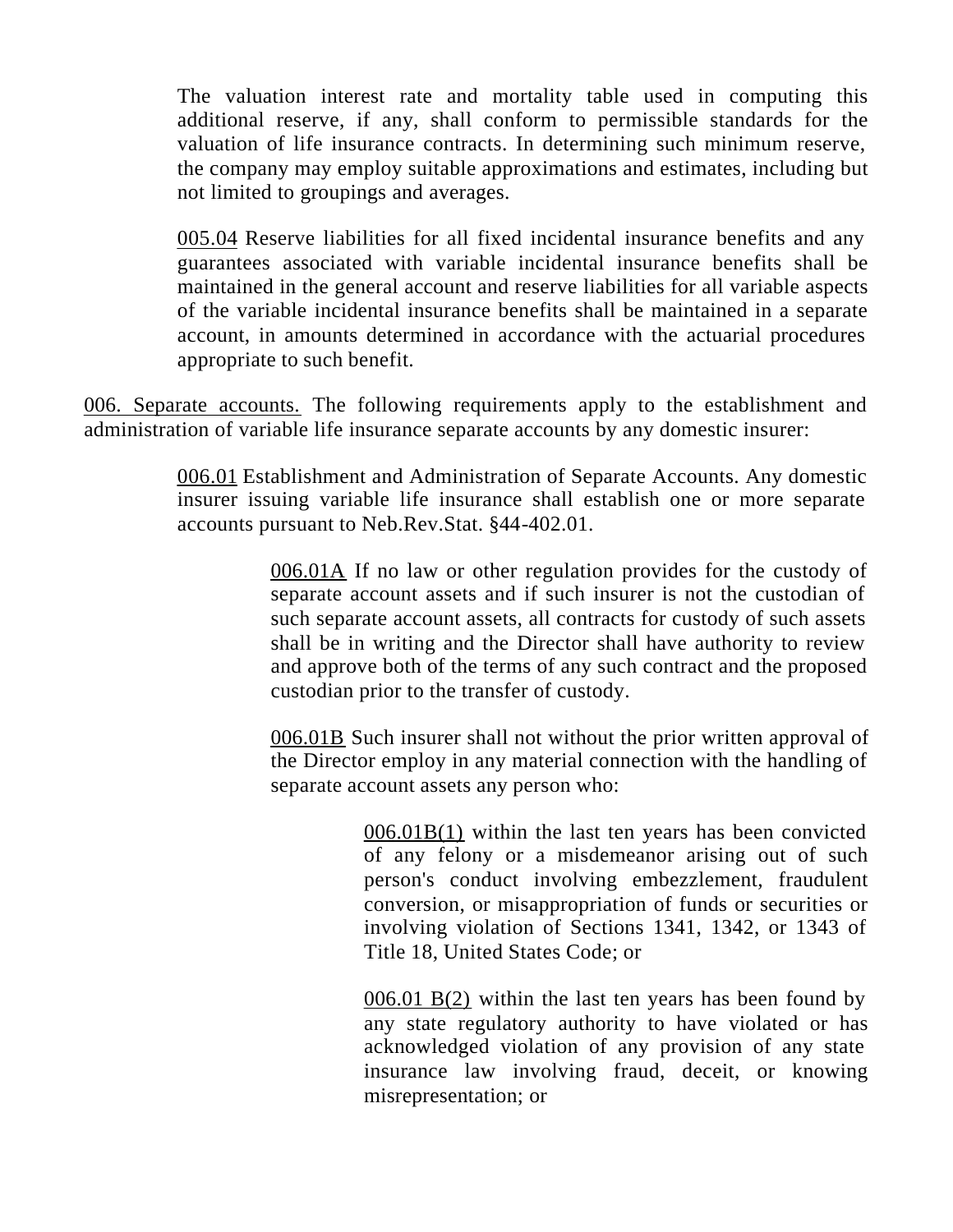The valuation interest rate and mortality table used in computing this additional reserve, if any, shall conform to permissible standards for the valuation of life insurance contracts. In determining such minimum reserve, the company may employ suitable approximations and estimates, including but not limited to groupings and averages.

005.04 Reserve liabilities for all fixed incidental insurance benefits and any guarantees associated with variable incidental insurance benefits shall be maintained in the general account and reserve liabilities for all variable aspects of the variable incidental insurance benefits shall be maintained in a separate account, in amounts determined in accordance with the actuarial procedures appropriate to such benefit.

006. Separate accounts. The following requirements apply to the establishment and administration of variable life insurance separate accounts by any domestic insurer:

> 006.01 Establishment and Administration of Separate Accounts. Any domestic insurer issuing variable life insurance shall establish one or more separate accounts pursuant to Neb.Rev.Stat. §44-402.01.

> > 006.01A If no law or other regulation provides for the custody of separate account assets and if such insurer is not the custodian of such separate account assets, all contracts for custody of such assets shall be in writing and the Director shall have authority to review and approve both of the terms of any such contract and the proposed custodian prior to the transfer of custody.

> > 006.01B Such insurer shall not without the prior written approval of the Director employ in any material connection with the handling of separate account assets any person who:

> > > 006.01B(1) within the last ten years has been convicted of any felony or a misdemeanor arising out of such person's conduct involving embezzlement, fraudulent conversion, or misappropriation of funds or securities or involving violation of Sections 1341, 1342, or 1343 of Title 18, United States Code; or

> > > $006.01$  B(2) within the last ten years has been found by any state regulatory authority to have violated or has acknowledged violation of any provision of any state insurance law involving fraud, deceit, or knowing misrepresentation; or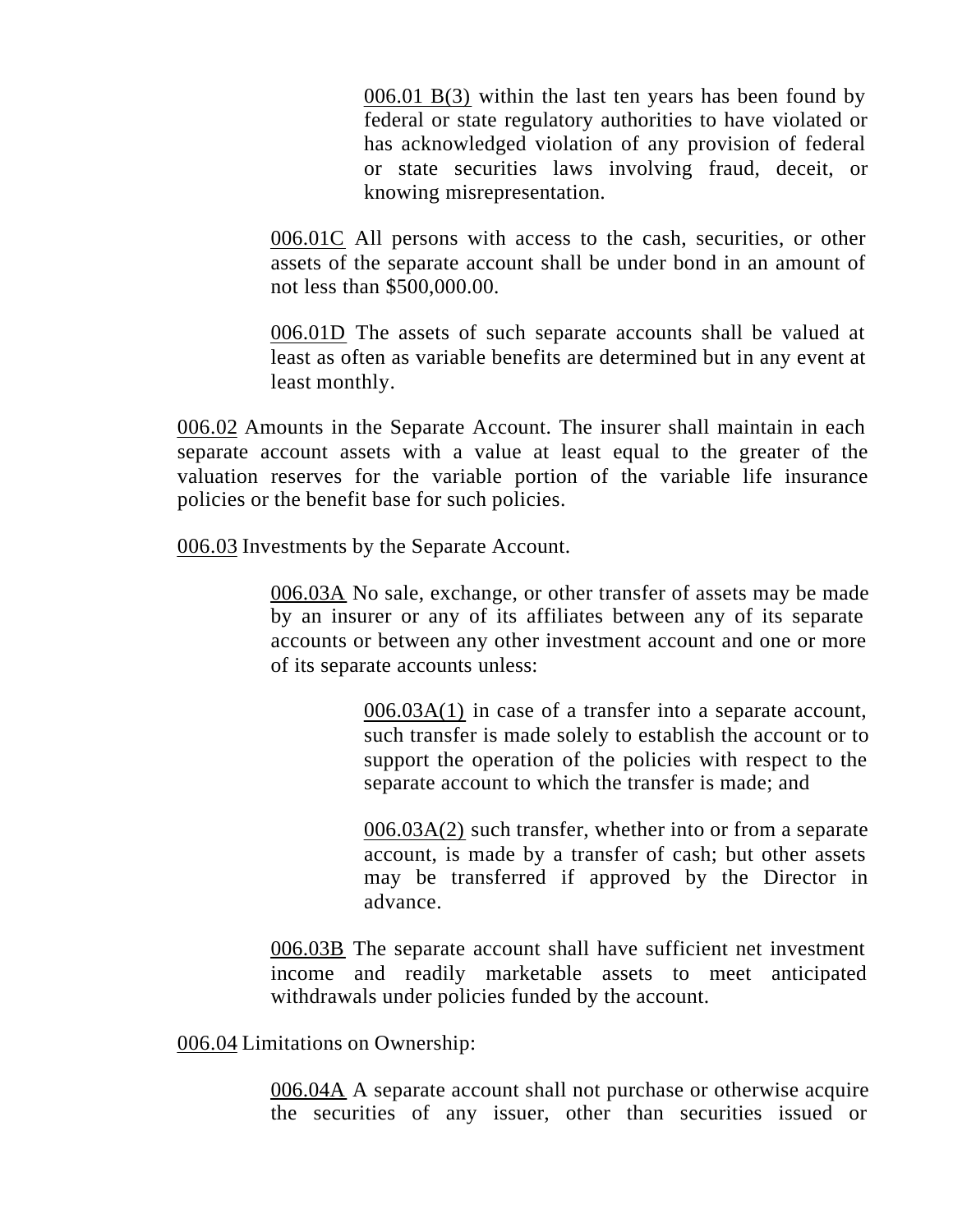006.01 B(3) within the last ten years has been found by federal or state regulatory authorities to have violated or has acknowledged violation of any provision of federal or state securities laws involving fraud, deceit, or knowing misrepresentation.

006.01C All persons with access to the cash, securities, or other assets of the separate account shall be under bond in an amount of not less than \$500,000.00.

006.01D The assets of such separate accounts shall be valued at least as often as variable benefits are determined but in any event at least monthly.

006.02 Amounts in the Separate Account. The insurer shall maintain in each separate account assets with a value at least equal to the greater of the valuation reserves for the variable portion of the variable life insurance policies or the benefit base for such policies.

006.03 Investments by the Separate Account.

006.03A No sale, exchange, or other transfer of assets may be made by an insurer or any of its affiliates between any of its separate accounts or between any other investment account and one or more of its separate accounts unless:

> 006.03A(1) in case of a transfer into a separate account, such transfer is made solely to establish the account or to support the operation of the policies with respect to the separate account to which the transfer is made; and

> 006.03A(2) such transfer, whether into or from a separate account, is made by a transfer of cash; but other assets may be transferred if approved by the Director in advance.

006.03B The separate account shall have sufficient net investment income and readily marketable assets to meet anticipated withdrawals under policies funded by the account.

006.04 Limitations on Ownership:

006.04A A separate account shall not purchase or otherwise acquire the securities of any issuer, other than securities issued or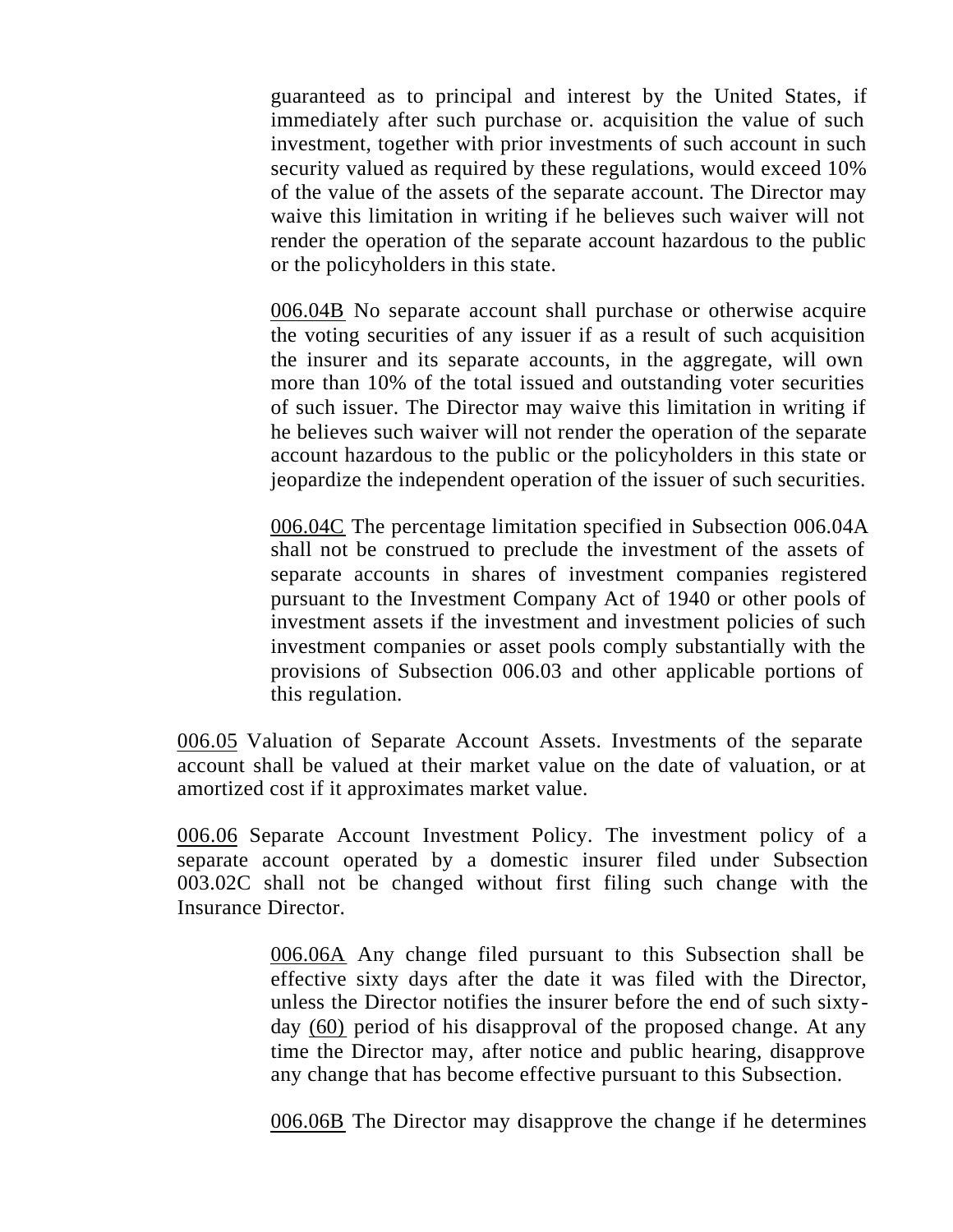guaranteed as to principal and interest by the United States, if immediately after such purchase or. acquisition the value of such investment, together with prior investments of such account in such security valued as required by these regulations, would exceed 10% of the value of the assets of the separate account. The Director may waive this limitation in writing if he believes such waiver will not render the operation of the separate account hazardous to the public or the policyholders in this state.

006.04B No separate account shall purchase or otherwise acquire the voting securities of any issuer if as a result of such acquisition the insurer and its separate accounts, in the aggregate, will own more than 10% of the total issued and outstanding voter securities of such issuer. The Director may waive this limitation in writing if he believes such waiver will not render the operation of the separate account hazardous to the public or the policyholders in this state or jeopardize the independent operation of the issuer of such securities.

006.04C The percentage limitation specified in Subsection 006.04A shall not be construed to preclude the investment of the assets of separate accounts in shares of investment companies registered pursuant to the Investment Company Act of 1940 or other pools of investment assets if the investment and investment policies of such investment companies or asset pools comply substantially with the provisions of Subsection 006.03 and other applicable portions of this regulation.

006.05 Valuation of Separate Account Assets. Investments of the separate account shall be valued at their market value on the date of valuation, or at amortized cost if it approximates market value.

006.06 Separate Account Investment Policy. The investment policy of a separate account operated by a domestic insurer filed under Subsection 003.02C shall not be changed without first filing such change with the Insurance Director.

> 006.06A Any change filed pursuant to this Subsection shall be effective sixty days after the date it was filed with the Director, unless the Director notifies the insurer before the end of such sixtyday (60) period of his disapproval of the proposed change. At any time the Director may, after notice and public hearing, disapprove any change that has become effective pursuant to this Subsection.

> 006.06B The Director may disapprove the change if he determines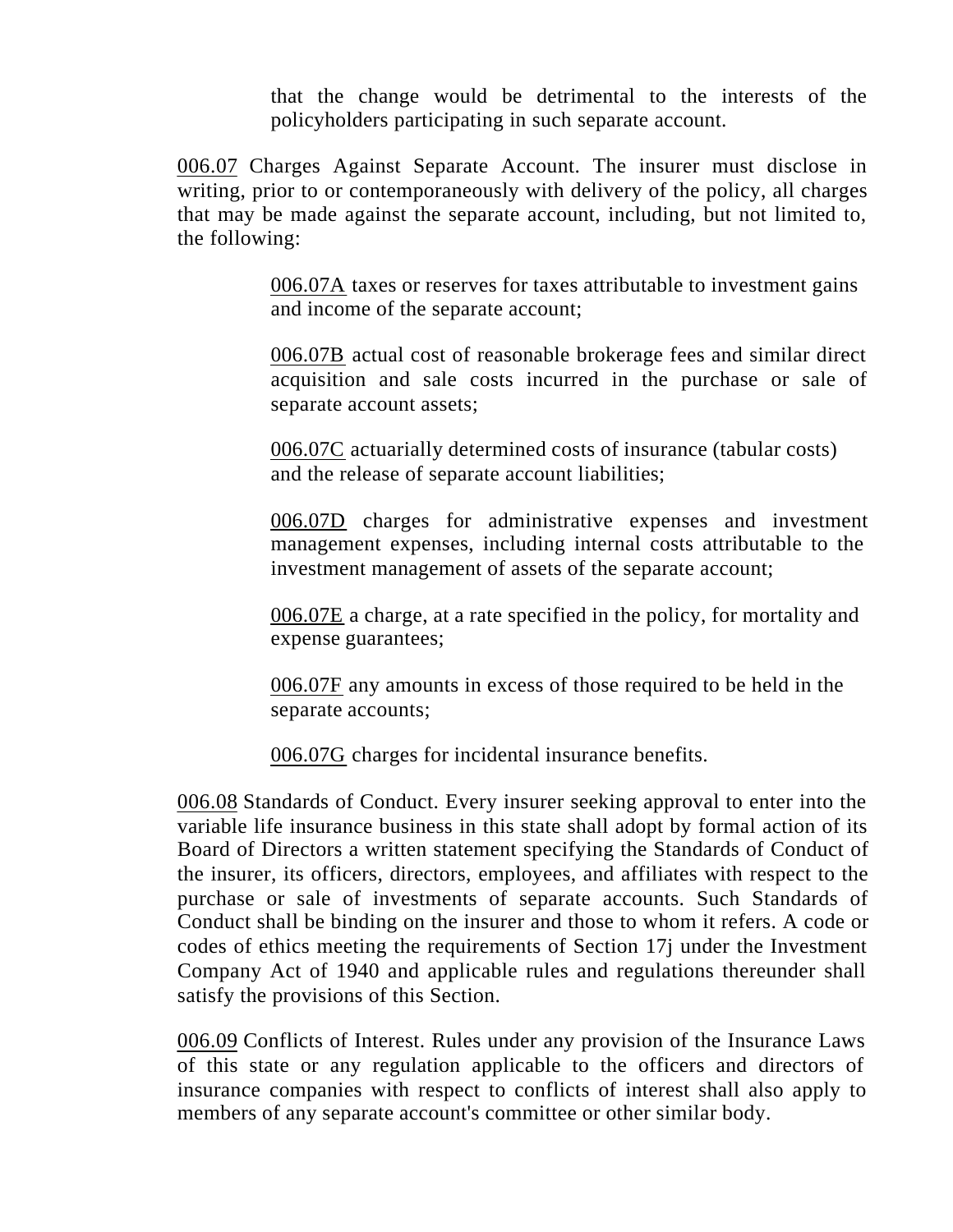that the change would be detrimental to the interests of the policyholders participating in such separate account.

006.07 Charges Against Separate Account. The insurer must disclose in writing, prior to or contemporaneously with delivery of the policy, all charges that may be made against the separate account, including, but not limited to, the following:

> 006.07A taxes or reserves for taxes attributable to investment gains and income of the separate account;

006.07B actual cost of reasonable brokerage fees and similar direct acquisition and sale costs incurred in the purchase or sale of separate account assets;

006.07C actuarially determined costs of insurance (tabular costs) and the release of separate account liabilities;

006.07D charges for administrative expenses and investment management expenses, including internal costs attributable to the investment management of assets of the separate account;

006.07E a charge, at a rate specified in the policy, for mortality and expense guarantees;

006.07F any amounts in excess of those required to be held in the separate accounts;

006.07G charges for incidental insurance benefits.

006.08 Standards of Conduct. Every insurer seeking approval to enter into the variable life insurance business in this state shall adopt by formal action of its Board of Directors a written statement specifying the Standards of Conduct of the insurer, its officers, directors, employees, and affiliates with respect to the purchase or sale of investments of separate accounts. Such Standards of Conduct shall be binding on the insurer and those to whom it refers. A code or codes of ethics meeting the requirements of Section 17j under the Investment Company Act of 1940 and applicable rules and regulations thereunder shall satisfy the provisions of this Section.

006.09 Conflicts of Interest. Rules under any provision of the Insurance Laws of this state or any regulation applicable to the officers and directors of insurance companies with respect to conflicts of interest shall also apply to members of any separate account's committee or other similar body.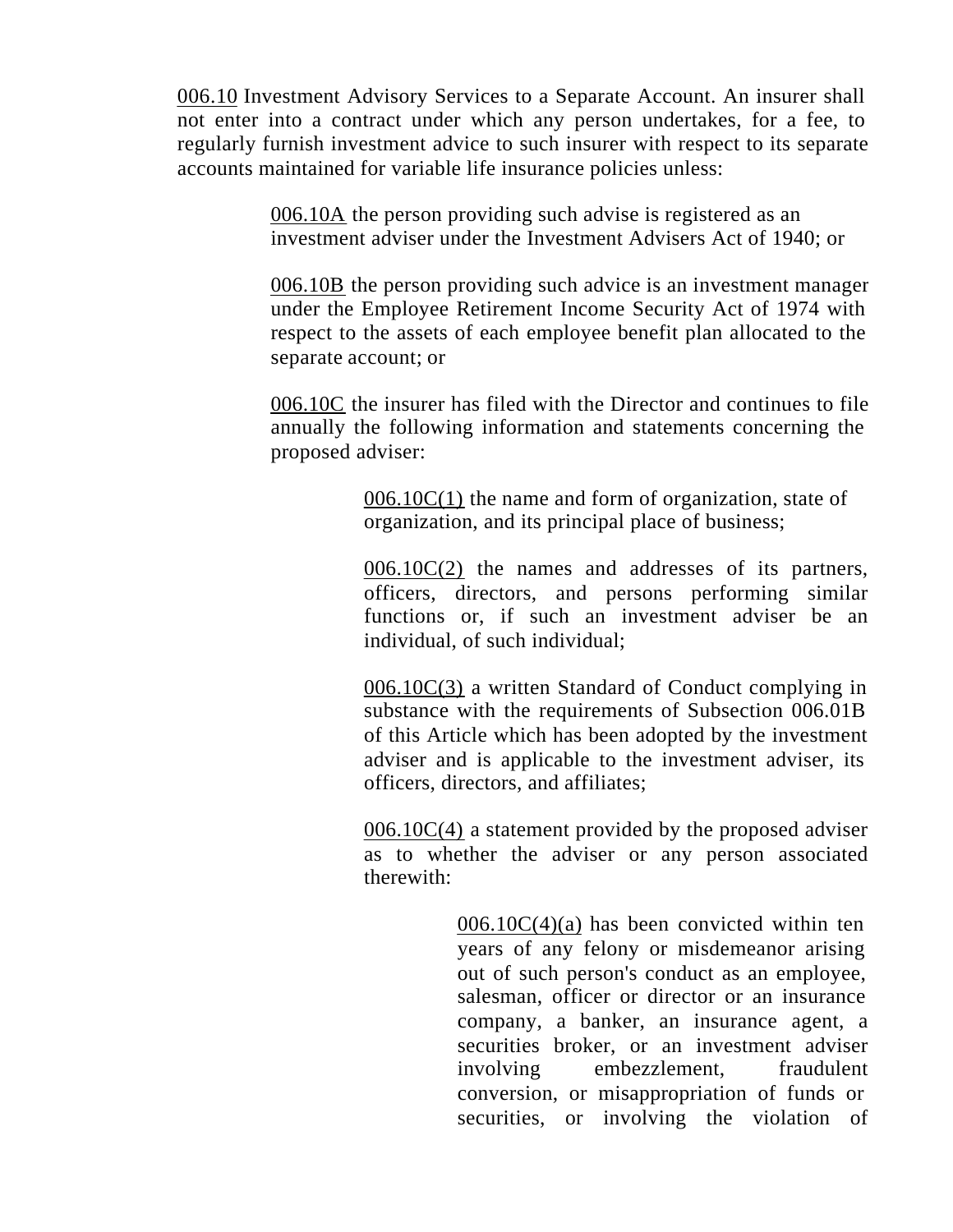006.10 Investment Advisory Services to a Separate Account. An insurer shall not enter into a contract under which any person undertakes, for a fee, to regularly furnish investment advice to such insurer with respect to its separate accounts maintained for variable life insurance policies unless:

> 006.10A the person providing such advise is registered as an investment adviser under the Investment Advisers Act of 1940; or

006.10B the person providing such advice is an investment manager under the Employee Retirement Income Security Act of 1974 with respect to the assets of each employee benefit plan allocated to the separate account; or

006.10C the insurer has filed with the Director and continues to file annually the following information and statements concerning the proposed adviser:

> $006.10C(1)$  the name and form of organization, state of organization, and its principal place of business;

 $006.10C(2)$  the names and addresses of its partners, officers, directors, and persons performing similar functions or, if such an investment adviser be an individual, of such individual;

006.10C(3) a written Standard of Conduct complying in substance with the requirements of Subsection 006.01B of this Article which has been adopted by the investment adviser and is applicable to the investment adviser, its officers, directors, and affiliates;

 $006.10C(4)$  a statement provided by the proposed adviser as to whether the adviser or any person associated therewith:

> $006.10C(4)(a)$  has been convicted within ten years of any felony or misdemeanor arising out of such person's conduct as an employee, salesman, officer or director or an insurance company, a banker, an insurance agent, a securities broker, or an investment adviser involving embezzlement, fraudulent conversion, or misappropriation of funds or securities, or involving the violation of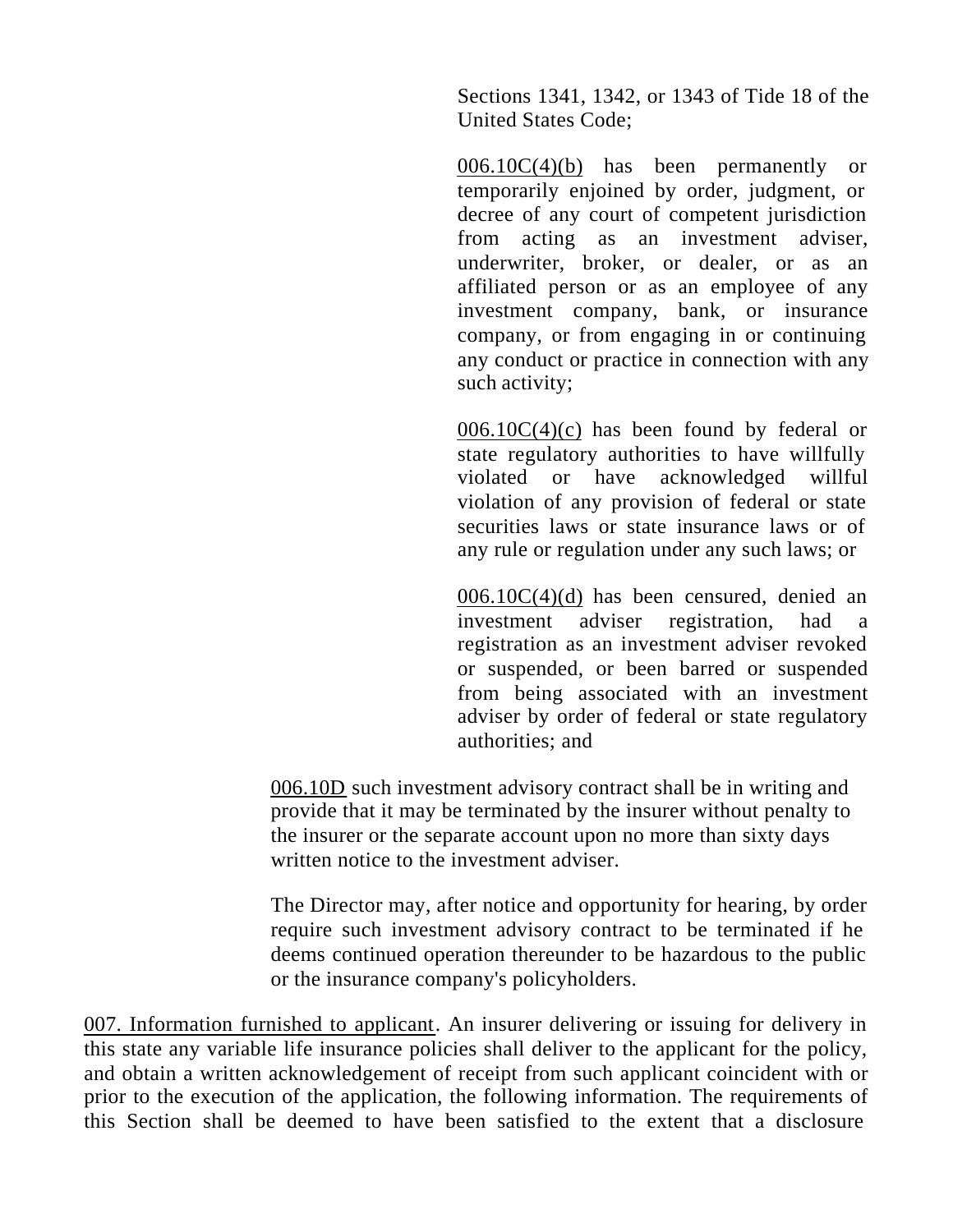Sections 1341, 1342, or 1343 of Tide 18 of the United States Code;

 $006.10C(4)(b)$  has been permanently or temporarily enjoined by order, judgment, or decree of any court of competent jurisdiction from acting as an investment adviser, underwriter, broker, or dealer, or as an affiliated person or as an employee of any investment company, bank, or insurance company, or from engaging in or continuing any conduct or practice in connection with any such activity;

 $006.10C(4)(c)$  has been found by federal or state regulatory authorities to have willfully violated or have acknowledged willful violation of any provision of federal or state securities laws or state insurance laws or of any rule or regulation under any such laws; or

006.10C(4)(d) has been censured, denied an investment adviser registration, had a registration as an investment adviser revoked or suspended, or been barred or suspended from being associated with an investment adviser by order of federal or state regulatory authorities; and

006.10D such investment advisory contract shall be in writing and provide that it may be terminated by the insurer without penalty to the insurer or the separate account upon no more than sixty days written notice to the investment adviser.

The Director may, after notice and opportunity for hearing, by order require such investment advisory contract to be terminated if he deems continued operation thereunder to be hazardous to the public or the insurance company's policyholders.

007. Information furnished to applicant. An insurer delivering or issuing for delivery in this state any variable life insurance policies shall deliver to the applicant for the policy, and obtain a written acknowledgement of receipt from such applicant coincident with or prior to the execution of the application, the following information. The requirements of this Section shall be deemed to have been satisfied to the extent that a disclosure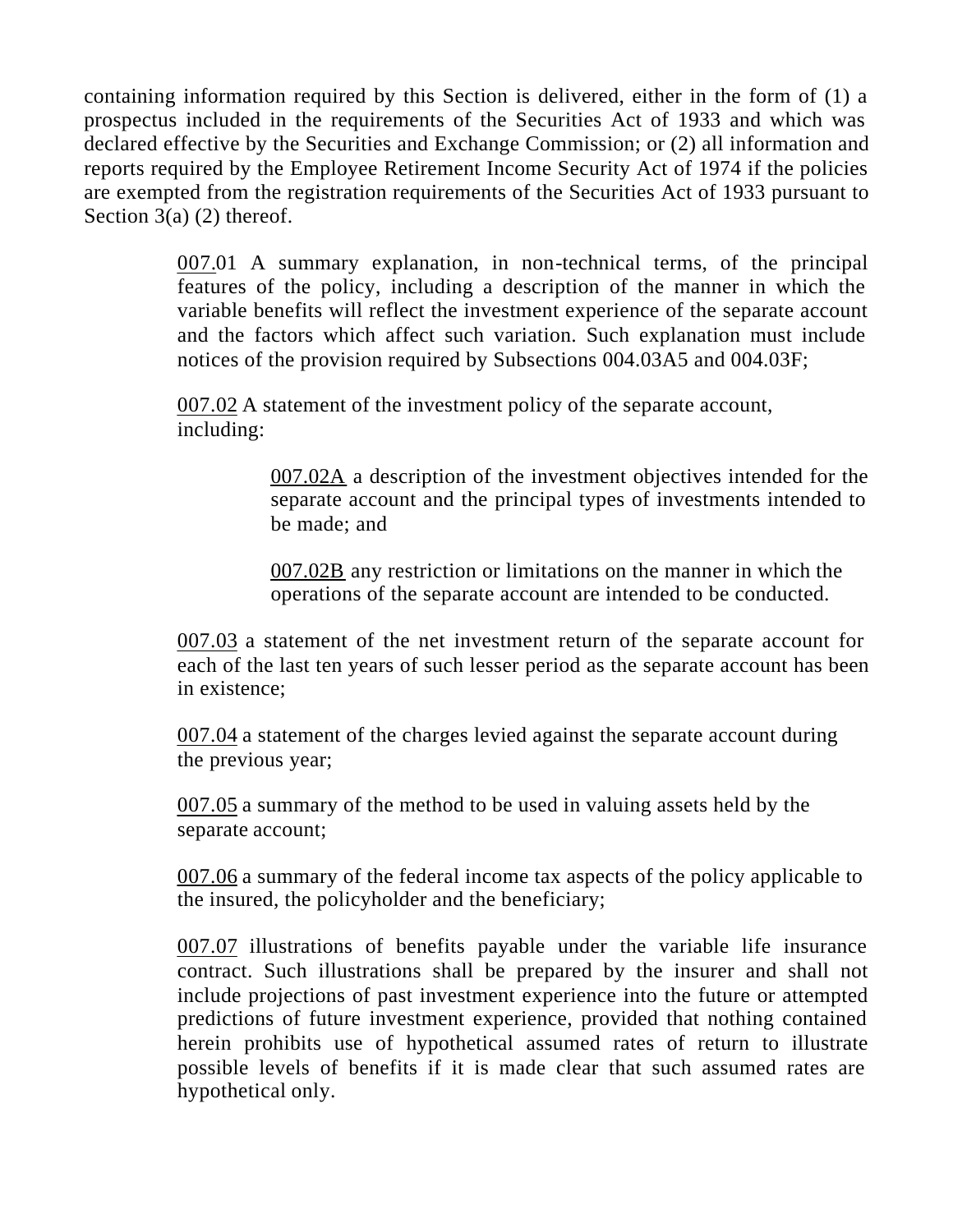containing information required by this Section is delivered, either in the form of (1) a prospectus included in the requirements of the Securities Act of 1933 and which was declared effective by the Securities and Exchange Commission; or (2) all information and reports required by the Employee Retirement Income Security Act of 1974 if the policies are exempted from the registration requirements of the Securities Act of 1933 pursuant to Section  $3(a)$  (2) thereof.

> 007.01 A summary explanation, in non-technical terms, of the principal features of the policy, including a description of the manner in which the variable benefits will reflect the investment experience of the separate account and the factors which affect such variation. Such explanation must include notices of the provision required by Subsections 004.03A5 and 004.03F;

007.02 A statement of the investment policy of the separate account, including:

> 007.02A a description of the investment objectives intended for the separate account and the principal types of investments intended to be made; and

007.02B any restriction or limitations on the manner in which the operations of the separate account are intended to be conducted.

007.03 a statement of the net investment return of the separate account for each of the last ten years of such lesser period as the separate account has been in existence;

007.04 a statement of the charges levied against the separate account during the previous year;

007.05 a summary of the method to be used in valuing assets held by the separate account;

007.06 a summary of the federal income tax aspects of the policy applicable to the insured, the policyholder and the beneficiary;

007.07 illustrations of benefits payable under the variable life insurance contract. Such illustrations shall be prepared by the insurer and shall not include projections of past investment experience into the future or attempted predictions of future investment experience, provided that nothing contained herein prohibits use of hypothetical assumed rates of return to illustrate possible levels of benefits if it is made clear that such assumed rates are hypothetical only.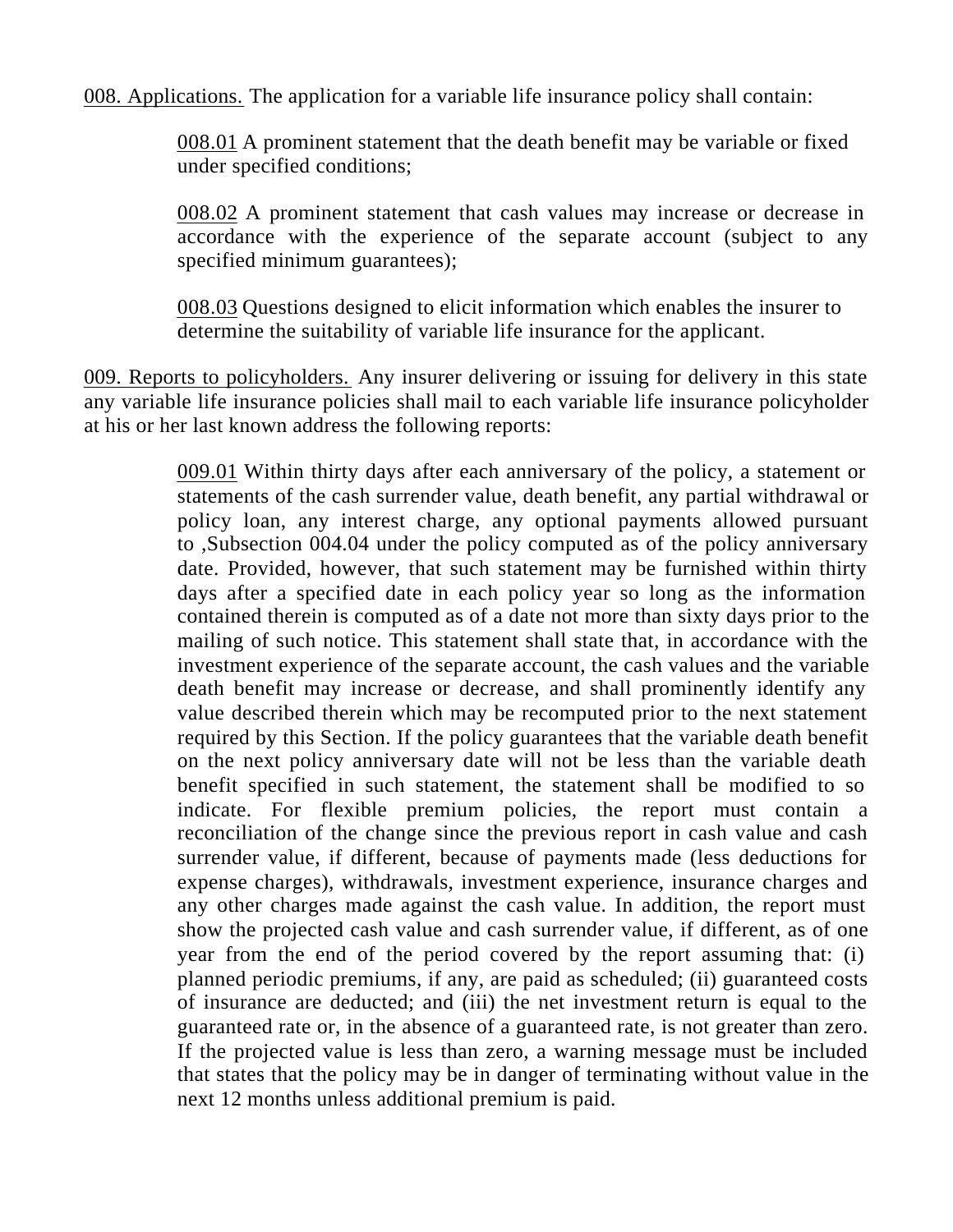008. Applications. The application for a variable life insurance policy shall contain:

008.01 A prominent statement that the death benefit may be variable or fixed under specified conditions;

008.02 A prominent statement that cash values may increase or decrease in accordance with the experience of the separate account (subject to any specified minimum guarantees);

008.03 Questions designed to elicit information which enables the insurer to determine the suitability of variable life insurance for the applicant.

009. Reports to policyholders. Any insurer delivering or issuing for delivery in this state any variable life insurance policies shall mail to each variable life insurance policyholder at his or her last known address the following reports:

> 009.01 Within thirty days after each anniversary of the policy, a statement or statements of the cash surrender value, death benefit, any partial withdrawal or policy loan, any interest charge, any optional payments allowed pursuant to ,Subsection 004.04 under the policy computed as of the policy anniversary date. Provided, however, that such statement may be furnished within thirty days after a specified date in each policy year so long as the information contained therein is computed as of a date not more than sixty days prior to the mailing of such notice. This statement shall state that, in accordance with the investment experience of the separate account, the cash values and the variable death benefit may increase or decrease, and shall prominently identify any value described therein which may be recomputed prior to the next statement required by this Section. If the policy guarantees that the variable death benefit on the next policy anniversary date will not be less than the variable death benefit specified in such statement, the statement shall be modified to so indicate. For flexible premium policies, the report must contain a reconciliation of the change since the previous report in cash value and cash surrender value, if different, because of payments made (less deductions for expense charges), withdrawals, investment experience, insurance charges and any other charges made against the cash value. In addition, the report must show the projected cash value and cash surrender value, if different, as of one year from the end of the period covered by the report assuming that: (i) planned periodic premiums, if any, are paid as scheduled; (ii) guaranteed costs of insurance are deducted; and (iii) the net investment return is equal to the guaranteed rate or, in the absence of a guaranteed rate, is not greater than zero. If the projected value is less than zero, a warning message must be included that states that the policy may be in danger of terminating without value in the next 12 months unless additional premium is paid.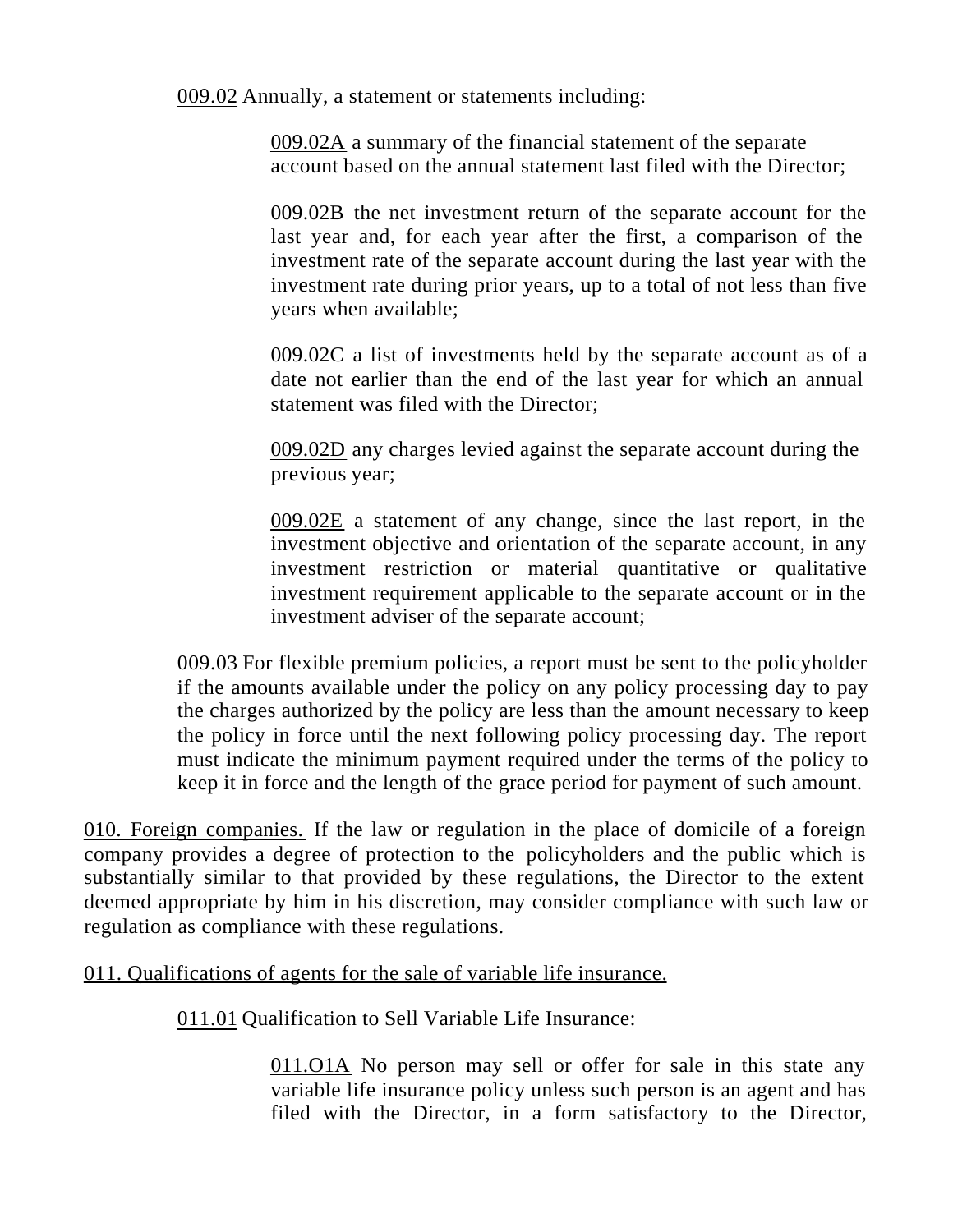009.02 Annually, a statement or statements including:

009.02A a summary of the financial statement of the separate account based on the annual statement last filed with the Director;

009.02B the net investment return of the separate account for the last year and, for each year after the first, a comparison of the investment rate of the separate account during the last year with the investment rate during prior years, up to a total of not less than five years when available;

009.02C a list of investments held by the separate account as of a date not earlier than the end of the last year for which an annual statement was filed with the Director;

009.02D any charges levied against the separate account during the previous year;

009.02E a statement of any change, since the last report, in the investment objective and orientation of the separate account, in any investment restriction or material quantitative or qualitative investment requirement applicable to the separate account or in the investment adviser of the separate account;

009.03 For flexible premium policies, a report must be sent to the policyholder if the amounts available under the policy on any policy processing day to pay the charges authorized by the policy are less than the amount necessary to keep the policy in force until the next following policy processing day. The report must indicate the minimum payment required under the terms of the policy to keep it in force and the length of the grace period for payment of such amount.

010. Foreign companies. If the law or regulation in the place of domicile of a foreign company provides a degree of protection to the policyholders and the public which is substantially similar to that provided by these regulations, the Director to the extent deemed appropriate by him in his discretion, may consider compliance with such law or regulation as compliance with these regulations.

011. Qualifications of agents for the sale of variable life insurance.

011.01 Qualification to Sell Variable Life Insurance:

011.01A No person may sell or offer for sale in this state any variable life insurance policy unless such person is an agent and has filed with the Director, in a form satisfactory to the Director,